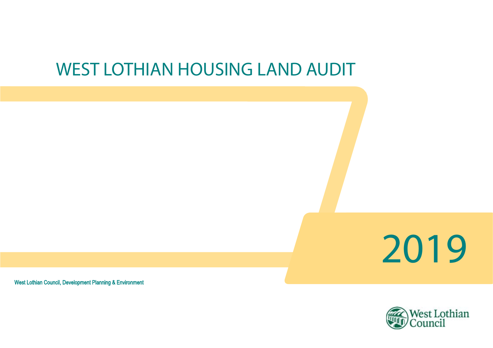# WEST LOTHIAN HOUSING LAND AUDIT



West Lothian Council, Development Planning & Environment

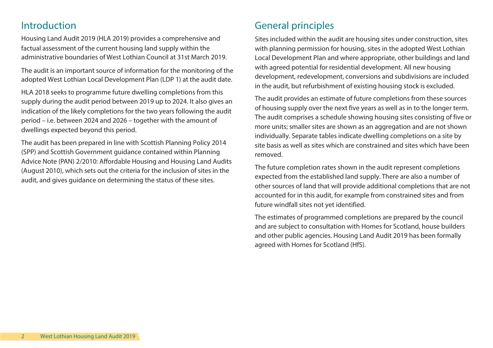### Introduction

Housing Land Audit 2019 (HLA 2019) provides a comprehensive and factual assessment of the current housing land supply within the administrative boundaries of West Lothian Council at 31st March 2019.

The audit is an important source of information for the monitoring of the adopted West Lothian Local Development Plan (LDP 1) at the audit date.

HLA 2018 seeks to programme future dwelling completions from this supply during the audit period between 2019 up to 2024. It also gives an indication of the likely completions for the two years following the audit period – i.e. between 2024 and 2026 – together with the amount of dwellings expected beyond this period.

The audit has been prepared in line with Scottish Planning Policy 2014 (SPP) and Scottish Government guidance contained within Planning Advice Note (PAN) 2/2010: Affordable Housing and Housing Land Audits (August 2010), which sets out the criteria for the inclusion of sites in the audit, and gives guidance on determining the status of these sites.

## General principles

Sites included within the audit are housing sites under construction, sites with planning permission for housing, sites in the adopted West Lothian Local Development Plan and where appropriate, other buildings and land with agreed potential for residential development. All new housing development, redevelopment, conversions and subdivisions are included in the audit, but refurbishment of existing housing stock is excluded.

The audit provides an estimate of future completions from these sources of housing supply over the next five years as well as in to the longer term. The audit comprises a schedule showing housing sites consisting of five or more units; smaller sites are shown as an aggregation and are not shown individually. Separate tables indicate dwelling completions on a site by site basis as well as sites which are constrained and sites which have been removed.

The future completion rates shown in the audit represent completions expected from the established land supply. There are also a number of other sources of land that will provide additional completions that are not accounted for in this audit, for example from constrained sites and from future windfall sites not yet identified.

The estimates of programmed completions are prepared by the council and are subject to consultation with Homes for Scotland, house builders and other public agencies. Housing Land Audit 2019 has been formally agreed with Homes for Scotland (HfS).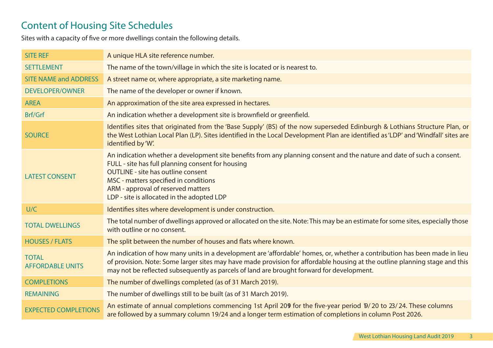# Content of Housing Site Schedules

Sites with a capacity of five or more dwellings contain the following details.

| <b>SITE REF</b>                         | A unique HLA site reference number.                                                                                                                                                                                                                                                                                                                   |
|-----------------------------------------|-------------------------------------------------------------------------------------------------------------------------------------------------------------------------------------------------------------------------------------------------------------------------------------------------------------------------------------------------------|
| <b>SETTLEMENT</b>                       | The name of the town/village in which the site is located or is nearest to.                                                                                                                                                                                                                                                                           |
| <b>SITE NAME and ADDRESS</b>            | A street name or, where appropriate, a site marketing name.                                                                                                                                                                                                                                                                                           |
| <b>DEVELOPER/OWNER</b>                  | The name of the developer or owner if known.                                                                                                                                                                                                                                                                                                          |
| <b>AREA</b>                             | An approximation of the site area expressed in hectares.                                                                                                                                                                                                                                                                                              |
| Brf/Grf                                 | An indication whether a development site is brownfield or greenfield.                                                                                                                                                                                                                                                                                 |
| <b>SOURCE</b>                           | Identifies sites that originated from the 'Base Supply' (BS) of the now superseded Edinburgh & Lothians Structure Plan, or<br>the West Lothian Local Plan (LP). Sites identified in the Local Development Plan are identified as 'LDP' and 'Windfall' sites are<br>identified by 'W'.                                                                 |
| <b>LATEST CONSENT</b>                   | An indication whether a development site benefits from any planning consent and the nature and date of such a consent.<br>FULL - site has full planning consent for housing<br><b>OUTLINE - site has outline consent</b><br>MSC - matters specified in conditions<br>ARM - approval of reserved matters<br>LDP - site is allocated in the adopted LDP |
| U/C                                     | Identifies sites where development is under construction.                                                                                                                                                                                                                                                                                             |
| <b>TOTAL DWELLINGS</b>                  | The total number of dwellings approved or allocated on the site. Note: This may be an estimate for some sites, especially those<br>with outline or no consent.                                                                                                                                                                                        |
| <b>HOUSES / FLATS</b>                   | The split between the number of houses and flats where known.                                                                                                                                                                                                                                                                                         |
| <b>TOTAL</b><br><b>AFFORDABLE UNITS</b> | An indication of how many units in a development are 'affordable' homes, or, whether a contribution has been made in lieu<br>of provision. Note: Some larger sites may have made provision for affordable housing at the outline planning stage and this<br>may not be reflected subsequently as parcels of land are brought forward for development. |
| <b>COMPLETIONS</b>                      | The number of dwellings completed (as of 31 March 2019).                                                                                                                                                                                                                                                                                              |
| <b>REMAINING</b>                        | The number of dwellings still to be built (as of 31 March 2019).                                                                                                                                                                                                                                                                                      |
| <b>EXPECTED COMPLETIONS</b>             | An estimate of annual completions commencing 1st April 209 for the five-year period $\frac{1}{2}$ 20 to 23/24. These columns<br>are followed by a summary column 19/24 and a longer term estimation of completions in column Post 2026.                                                                                                               |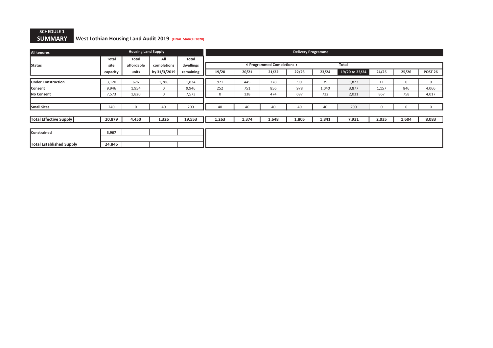### <u>SCHEDULE 1</u> SUMMARY West Lothian Housing Land Audit 2019 (FINAL MARCH 2020)

| <b>All tenures</b>              |                              | <b>Housing Land Supply</b> |              |              |            |            |                            | <b>Delivery Programme</b> |       |                |          |       |                |
|---------------------------------|------------------------------|----------------------------|--------------|--------------|------------|------------|----------------------------|---------------------------|-------|----------------|----------|-------|----------------|
|                                 | Total                        | Total                      | All          | <b>Total</b> |            |            |                            |                           |       |                |          |       |                |
| <b>Status</b>                   | site                         | affordable                 | completions  | dwellings    |            |            | ◀ Programmed Completions ▶ |                           |       | <b>Total</b>   |          |       |                |
|                                 | capacity                     | units                      | by 31/3/2019 | remaining    | 19/20      | 20/21      | 21/22                      | 22/23                     | 23/24 | 19/20 to 23/24 | 24/25    | 25/26 | <b>POST 26</b> |
|                                 |                              |                            |              |              |            |            |                            |                           |       |                |          |       |                |
| <b>Under Construction</b>       | 3,120                        | 676                        | 1,286        | 1,834        | 971<br>252 | 445<br>751 | 278                        | 90                        | 39    | 1,823          | 11       | 0     | $\mathbf 0$    |
| Consent                         | 9,946<br>9,946<br>1,954<br>0 |                            |              |              |            |            | 856                        | 978                       | 1,040 | 3,877          | 1,157    | 846   | 4,066          |
| No Consent                      | 7,573                        | 1,820                      | 0            | 7,573        | 0          | 138        | 474                        | 697                       | 722   | 2,031          | 867      | 758   | 4,017          |
|                                 |                              |                            |              |              |            |            |                            |                           |       |                |          |       |                |
| <b>Small Sites</b>              | 240                          | $\Omega$                   | 40           | 200          | 40         | 40         | 40                         | 40                        | 40    | 200            | $\Omega$ |       | $\Omega$       |
|                                 |                              |                            |              |              |            |            |                            |                           |       |                |          |       |                |
| <b>Total Effective Supply</b>   | 20,879                       | 4,450                      | 1,326        | 19,553       | 1,263      | 1,374      | 1,648                      | 1,805                     | 1,841 | 7,931          | 2,035    | 1,604 | 8,083          |
|                                 |                              |                            |              |              |            |            |                            |                           |       |                |          |       |                |
| Constrained                     | 3,967                        |                            |              |              |            |            |                            |                           |       |                |          |       |                |
|                                 |                              |                            |              |              |            |            |                            |                           |       |                |          |       |                |
| <b>Total Established Supply</b> | 24,846                       |                            |              |              |            |            |                            |                           |       |                |          |       |                |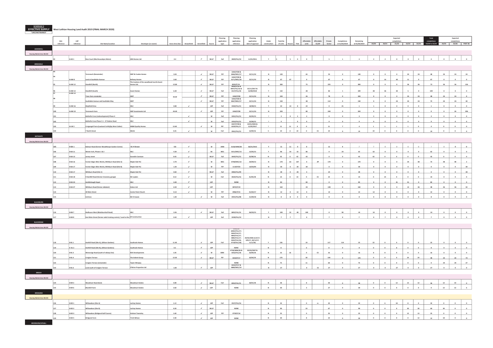Planning Planning | Planning | | | | | | | | | | | | | | | | | | Expected total Expected Expected Total Expected Halan Long application application application Under Total No Affordable Affordable Private Completions Remaining completions completions completions reference reference | Site-Name/Location | Developer (or owner) | Gross Area (ha) | Brownfield | Greenfield | Greenfield | Greenfield | Greenfield | Greenfield | Greenfield | Greenfield | Servence | date of approval | cons ADDIEWELL Housing Market Area WLC02<sup>92</sup> H-AD 1 Ross Court (Muirhousedyes Mains) ARH Homes Ltd 0.2 <sup>9</sup> WLLP Full 0829/FUL/10 11/01/2011 <sup>Y</sup> <sup>5</sup> <sup>5</sup> <sup>0</sup> <sup>0</sup> <sup>5</sup> <sup>1</sup> <sup>4</sup> <sup>2</sup> <sup>2</sup> <sup>0</sup> <sup>0</sup> <sup>0</sup> <sup>4</sup> <sup>0</sup> <sup>0</sup> <sup>0</sup> ARMADALE Housing Market Area WLC02Tarrareoch (Remainder) EWP & Cruden Homes 3.04 <sup>9</sup> $\checkmark$  wlup pip 1044/P/08 & 0466/MSC/17 22/11/10 <sup>N</sup> <sup>120</sup> <sup>65</sup> <sup>55</sup> <sup>0</sup> <sup>120</sup> <sup>0</sup> <sup>0</sup> <sup>0</sup> <sup>24</sup> <sup>24</sup> <sup>48</sup> <sup>24</sup> <sup>24</sup> <sup>24</sup> 94Land at Southdale AvenueBellway Homes 3.60<br>The fourteen of the considered front 0 doesn't state and the state of the state of the state of the state of the state of the state of the state of the state of the state of the state of the state of the 9 | v | wLLP | PiP 1044/P/08 & 0171/MSC/1822/11/10 N 67 67 0 67 0 67 0 67 0 16 40 11 0 67 0 0 0 <sup>95</sup> H-AM 12 Standhill (North) The trustees of the woodhead trust & Avant 12.80<br>Homes Ltd. 12.80  $12.80$   $\downarrow$   $\downarrow$  with V | WLLP | PIP | 0020/P/16 | N | 300 | | | 75 | 225 | 0 | 300 | 0 | 0 | 0 | 36 | 37 | 36 | 36 | 156 <sup>96</sup> H-AM 13 Standhill (South) Avant Homes 6.30 <sup>9</sup> WLLP Full  $0020/P/16$ 0047/FUL/16 & 0127/FUL/18 23/11/2017 & 15/08/20188 | Y | 110 | | | | 28 | | | 82 | 1 | | 109 | 38 | 36 | 30 | 5 | 0 | 109 | 0 | 0 | 0 Trees Farm remainder EWP <sup>9</sup> WLLP PiP 1044/P/08 22/11/10 <sup>N</sup> <sup>104</sup> <sup>26</sup> <sup>78</sup> <sup>0</sup> <sup>104</sup> <sup>0</sup> <sup>0</sup> <sup>0</sup> <sup>24</sup> <sup>24</sup> <sup>48</sup> <sup>24</sup> <sup>24</sup> <sup>8</sup> thdale Avenue and Southdale Way PiP PiP → WLLP PIP 9 WLLP PIP 9 WLLP PIP 9 WLLP PIP 9 WLLP PIP 9 WLLP PIP 9 WLLP PIP 1044/P/08 & 0467/MSC/177 | 22/11/10 | N | 150 | | | 38 | | | 112 | 0 | 150 | 0 | 0 | 24 | 24 | 24 | 24 | 24 | 30 <sup>99</sup> H-AM 16 Mayfield Drive WLC 0.80 <sup>9</sup> LDP Full 0444/FUL/15 18/08/15 <sup>Y</sup> <sup>22</sup> <sup>14</sup> <sup>8</sup> <sup>22</sup> <sup>0</sup> <sup>21</sup> <sup>1</sup> <sup>1</sup> <sup>0</sup> <sup>0</sup> <sup>0</sup> <sup>0</sup> <sup>1</sup> <sup>0</sup> <sup>0</sup> <sup>0</sup> 100 H-AM 19 Tarrareoch Farm EWP investments Ltd (44.40 │ √ │ LDP │ PIP │ 1044/P/08 │ 22/11/10 │ N │ 320 │ │ 240 │ 0 │ 320 │ 0 │ 0 │ 0 │ 0 │ 0 │ 0 │ 24 │ 296 101Bathville Cross (redevelopment) Phase 4 WLC 99 WLC 99 WLC 99 WLC 99 WLC 99 WLC 99 WLC 99 WLC 99 WLC 99 WLC 99 WLC 99 WLC 99 WLC 99 WLC 99 WLC 99 WLC 99 WLC 99 WLC 99 WLC 99 WLC 99 WLC 99 WLC 99 WLC 99 WLC 99 WLC 99 WLC 99 W Full 0201/FUL/15 05/05/15 <sup>Y</sup> <sup>3</sup> <sup>0</sup> <sup>3</sup> <sup>3</sup> <sup>0</sup> <sup>0</sup> <sup>3</sup> <sup>3</sup> <sup>0</sup> <sup>0</sup> <sup>0</sup> <sup>0</sup> <sup>3</sup> <sup>0</sup> <sup>0</sup> <sup>0</sup> Bathville Cross Phase 5 1 - 27 Station Ro W Full 0353/FUL/15 22/06/15 <sup>Y</sup> <sup>9</sup> <sup>9</sup> <sup>9</sup> <sup>0</sup> <sup>0</sup> <sup>9</sup> <sup>9</sup> <sup>0</sup> <sup>0</sup> <sup>0</sup> <sup>0</sup> <sup>9</sup> <sup>0</sup> <sup>0</sup> <sup>0</sup> 103H-LW 2 Craigengall Farm (Lowland Crofts)(by West Calder) M&M Quality Homes 13.60 W PiP 0447/P/98 & 0229/FUL/17 19/01/2005 & 11/05/2017 $Y = \begin{bmatrix} 1 & 1 \\ 1 & 1 \end{bmatrix}$  0 0 11 7 7 | 4 | 1 | 1 | 1 | 1 | 0 | 4 | 0 | 0 | 0 <sup>104</sup> 7 North Street WLDA 0.25 <sup>9</sup> $w$  Full 0941/FUL/15 Full 0941/FUL/15 13/09/16 <sup>N</sup> <sup>19</sup> <sup>0</sup> <sup>19</sup> <sup>0</sup> CS <sup>19</sup> <sup>0</sup> <sup>19</sup> <sup>19</sup> <sup>0</sup> <sup>0</sup> <sup>0</sup> <sup>0</sup> <sup>19</sup> <sup>0</sup> <sup>0</sup> <sup>0</sup> BATHGATEHousing Market Area WLC02<sup>105</sup> H-BA 1 Balmuir Road (former Woodthorpe Garden Centre) I & H Brown 0.8 <sup>9</sup> <sup>W</sup> ARM 0128/ARM/08 06/01/2010 <sup>Y</sup> <sup>11</sup> <sup>11</sup> <sup>0</sup> <sup>0</sup> <sup>11</sup> <sup>4</sup> <sup>7</sup> <sup>7</sup> <sup>0</sup> <sup>0</sup> <sup>00</sup> <sup>7</sup> <sup>0</sup> <sup>0</sup> <sup>0</sup> 106 H-BA 11 Wester Inch, Phases 1& 2 WLC 4.30 BS MSC 0151/MSC/15 | 15/05/15 | 15/05/15 | 16 | 86 | 54 | 32 | 86 | 0 | 24 | 62 | 62 | 0 | 0 | 0 | 62 | 0 | 0 | 0 1077 H-BA 13 Jarvey street → Dunedin Canmore → 0.43 9 WLLP Full 0645/FUL/15 23/08/16 <sup>N</sup> <sup>42</sup> <sup>0</sup> <sup>42</sup> <sup>42</sup> <sup>0</sup> <sup>0</sup> <sup>42</sup> <sup>42</sup> <sup>0</sup> <sup>0</sup> <sup>0</sup> <sup>0</sup> <sup>42</sup> <sup>0</sup> <sup>0</sup> <sup>0</sup> 108 H-BA 16 Former Edgar Allen Works, Whitburn Road (Site A) Maple Oak PLC 2.70 V / | ✔ | w | MSC | 0748/MSC/12 20/09/13 | N | 170 | 63 | 107 | 0 | AP | 170 | 0 | 0 | 0 | 0 | 24 | 48 | 72 | 48 | 2 <sup>109</sup> H-BA 17 Former Edgar Allen Works, Whitburn Road (Site B) Maple Oak PLC 1.20 <sup>9</sup> <sup>W</sup> PiP 1119/P/03 10/03/04 <sup>N</sup> <sup>30</sup> <sup>0</sup> <sup>30</sup> <sup>30</sup> <sup>0</sup> <sup>0</sup> <sup>30</sup> <sup>0</sup> <sup>0</sup> <sup>0</sup> <sup>0</sup> <sup>0</sup> <sup>0</sup> <sup>0</sup> <sup>0</sup> <sup>30</sup> <sup>110</sup> H-BA 17 Whitburn Road (Site C) Maple Oak PLC 0.82 <sup>9</sup> WLLP Full 0083/FUL/09 <sup>N</sup> <sup>28</sup> <sup>0</sup> <sup>28</sup> <sup>4</sup> <sup>24</sup> <sup>0</sup> <sup>28</sup> <sup>0</sup> <sup>0</sup> <sup>0</sup> <sup>0</sup> <sup>0</sup> <sup>0</sup> <sup>0</sup> <sup>0</sup> <sup>28</sup> H-BA 18 9 Hardhill Road (former Creamery garage) Mr Leyden $0.12$  $\sim$   $\sim$   $\sim$ W | Full | 0635/FUL/16 | 21/05/18 | N | 14 | 0 |14 | 0 | CS | 14 | 0 | 14 | 0 | 14 | 0 | 0 | 14 | 0 | 0 | 0 | <sup>112</sup> H-BA 24 Guildiehaugh Depot WLC 4.40 <sup>9</sup> LDP NONE <sup>N</sup> <sup>82</sup> <sup>82</sup> <sup>0</sup> <sup>0</sup> <sup>82</sup> <sup>0</sup> <sup>0</sup> <sup>41</sup> <sup>41</sup> <sup>0</sup> <sup>82</sup> <sup>0</sup> <sup>0</sup> <sup>0</sup> <sup>113</sup> H-BA 27 Whitburn Road (former abbatoir) Kalvec Ltd 6.50 <sup>9</sup> LDP 0875/P/19 <sup>N</sup> <sup>162</sup> <sup>24</sup> <sup>138</sup> <sup>0</sup> <sup>162</sup> <sup>0</sup> <sup>0</sup> <sup>0</sup> <sup>12</sup> <sup>36</sup> <sup>48</sup> <sup>36</sup> <sup>36</sup> <sup>42</sup> <sup>114</sup> 30 Main Street Centre Point Church 0.13 <sup>9</sup> <sup>W</sup> PiP 0906/P/15 01/02/17 <sup>N</sup> <sup>12</sup> <sup>0</sup> <sup>12</sup> <sup>0</sup> <sup>12</sup> <sup>0</sup> <sup>12</sup> <sup>12</sup> <sup>0</sup> <sup>0</sup> <sup>0</sup> <sup>0</sup> <sup>12</sup> <sup>0</sup> <sup>0</sup> <sup>0</sup> <sup>115</sup> Inchross Mr D Cowan 1.20 <sup>9</sup> <sup>W</sup> Full 0591/FUL/08 21/09/18 <sup>N</sup> <sup>8</sup> <sup>8</sup> <sup>0</sup> <sup>0</sup> <sup>8</sup> <sup>0</sup> <sup>8</sup> <sup>0</sup> <sup>8</sup> <sup>0</sup> <sup>0</sup> <sup>0</sup> <sup>8</sup> <sup>0</sup> <sup>0</sup> <sup>0</sup> **BLACKBURN** Housing Market Area WLC02 <sup>116</sup> H-BB 7 Redhouse West (Blackburnhall Road) WLC 3.26 <sup>9</sup> WLLP Full 0695/FUL/14 06/03/15 <sup>Y</sup> <sup>100</sup> <sup>52</sup> <sup>48</sup> <sup>100</sup> <sup>0</sup> <sup>90</sup> <sup>10</sup> <sup>10</sup> <sup>0</sup> <sup>0</sup> <sup>0</sup> <sup>0</sup> <sup>10</sup> <sup>0</sup> <sup>0</sup> <sup>0</sup> ||-888 East Main Street (former adult training centre)/ Land to the ∮R Construction (80 Construction 0.42 LDP Full Deparable Full Construction 0.42 Parable Para Democratic Parable Parable Parable Parable Parable Parable P BLACKRIDGEHousing Market Area WLC02 118H-BL 1 Harthill Road (Site A), (Allison Gardens) Southvale Homes 11.40 11.40 9 Machine State 11.40 LDP Full 0484/06 (0023/FUL/17; 0402/FUL/17; 0803/FUL/17; 0885/FUL/17; 0442/FUL/18; 0718/FUL/18) 29/05/2006 (1/3/17; 9/8/17; 30/11/17; 11/1/18) Y 136 19 117 114 22 22 0 0 0 0 22 0 0 0 |<br>|H- BL 2 ||Harthill Road (Site B), (Allison Gardens) Southvale Homes 0.5 0.5 √ LDP riupe in None in India II also in Italia II also in Italia II also in Italia II also in Italia II also in Ital 120|<br>| H-BL 3 Westcraigs Road (south of railway line) RCK Developments 1.05  $\checkmark$  w ARM 0738/ARM/06 & 0252/FUL/18 05/03/2007 & 10/09/18 N 16 16 0 CS 16 0 16 8 8 0 0 0 16 0 0 0 |<br>|H-BL 4 Craiginn Terrace The Ardent Group 13.30 **9** V WLLP WLLP PiP 0223/P/17 10/04/19 <sup>N</sup> <sup>170</sup> <sup>30</sup> <sup>144</sup> <sup>0</sup> <sup>170</sup> <sup>0</sup> <sup>0</sup> <sup>0</sup> <sup>24</sup> <sup>24</sup> <sup>48</sup> <sup>24</sup> <sup>24</sup> <sup>74</sup> 122 Craiginn Terrace (remainder) Taylor Wimpey NONENONE N<br>0223/P/17 & N<br>0889/MSC/19 N 75 11 64 0 75 0 0 0 0 0 0 24 24 27 123 H-BL 6 Land south of Craiginn Terrace O'Brien Properties Ltd 1.00 1.00 V LDP 9 | | N | 27 | | | 0 | CS | 27 | 0 | 27 | 0 | 0 | 0 | 0 | 27 | 0 | 0 | 0 | 0 | 0 **BREICH** Housing Market Area WLC02124 H-BR 3 Woodmuir Road (East) Woodmuir Estates 4.08 9✔ | wiip | Full | 0203/FUL/15 | 18/01/18 | N | 58 | | | 8 | | 50 | 0 | ce | 0 | 0 | 12 | 12 | 12 | 14 | 12 | 10 | 0 125s H-BR6 Blackhill Farm → Woodmuir Estates → 2.60 9 / イ LDP NONE <sup>N</sup> <sup>30</sup> <sup>3</sup> <sup>27</sup> <sup>0</sup> <sup>30</sup> <sup>0</sup> <sup>0</sup> <sup>0</sup> <sup>00</sup> <sup>0</sup> <sup>12</sup> <sup>12</sup> <sup>6</sup> BRIDGEND**Iousing Market Area WLCD** 26.60H-AM 8H-AM 14

126H-BD 1 Willowdean (Site A) Lochay Homes 1.12 1.12 V LDP LDP Full 0537/FUL/16 <sup>N</sup> <sup>32</sup> <sup>0</sup> cs <sup>32</sup> <sup>0</sup> <sup>32</sup> <sup>0</sup> <sup>6</sup> <sup>18</sup> <sup>8</sup> <sup>0</sup> <sup>32</sup> <sup>0</sup> <sup>0</sup> <sup>0</sup> H-BD 2 Williowdean (Site B) Lochay Homes 6.20 6.20 VILLE ✔ | WLLP | NONE | N | 90 | | | 23 | | 67 | 0 | 90 | 0 | 0 | 30 | 30 | 30 | 80 | 30 | 0 | 0 H-BD 3 Willowdean (Bridgend Golf Course) Graham Townsley 1.60 <sup>9</sup>✔ | LDP | PIP | 0739/P/16 | | N | 25 | | 0 | 25 | 0 | 25 | 0 | 0 | 25 | 0 | 0 | 0 | 0 | 0 | 0 | 0 | 0 H-BD 5 Bridgend Farm T & B Wilson 2.40 <sup>9</sup> $\sqrt{2}$   $\sqrt{2}$   $\sqrt{2}$   $\sqrt{2}$   $\sqrt{2}$   $\sqrt{2}$   $\sqrt{2}$   $\sqrt{2}$   $\sqrt{2}$   $\sqrt{2}$   $\sqrt{2}$   $\sqrt{2}$   $\sqrt{2}$   $\sqrt{2}$   $\sqrt{2}$   $\sqrt{2}$   $\sqrt{2}$   $\sqrt{2}$   $\sqrt{2}$   $\sqrt{2}$   $\sqrt{2}$   $\sqrt{2}$   $\sqrt{2}$   $\sqrt{2}$   $\sqrt{2}$   $\sqrt{2}$   $\sqrt{2}$   $\sqrt{2$ 

#### West Lothian Housing Land Audit 2019 (FINAL MARCH 2020) "UNCONSTRAINED"

<u>SCHEDULE 2</u><br>EFFECTIVE SUPPLY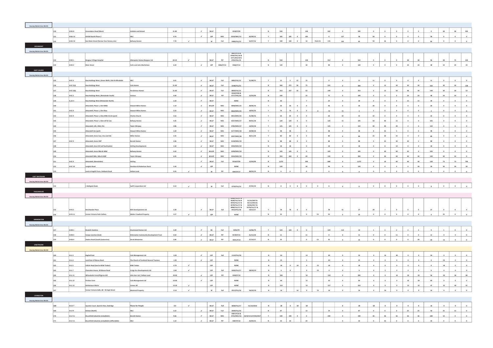| <b>Housing Market Area WLC01</b> |     |                   |                                                     |                                      |       |                             |                                          |                 |                                                 |                                                 |                |              |                                      |                          |                    |                 |                         |                 |                         |                |                          |                 |                          |              |                        |                        |                          |
|----------------------------------|-----|-------------------|-----------------------------------------------------|--------------------------------------|-------|-----------------------------|------------------------------------------|-----------------|-------------------------------------------------|-------------------------------------------------|----------------|--------------|--------------------------------------|--------------------------|--------------------|-----------------|-------------------------|-----------------|-------------------------|----------------|--------------------------|-----------------|--------------------------|--------------|------------------------|------------------------|--------------------------|
|                                  |     | H-BUS             | reendykes Road (West)                               |                                      | 31.80 |                             | $\mathcal{L}$                            |                 |                                                 |                                                 | N              | 590          |                                      | 148                      |                    | 442             |                         | sen             | $\circ$                 | $\sim$         | $\sqrt{2}$               | $\circ$         | $\circ$                  |              | 48                     | 48                     |                          |
|                                  |     |                   |                                                     | shdale and Boland                    |       |                             | WLLP                                     |                 | 0558/P/09                                       |                                                 |                | 185          |                                      |                          |                    |                 |                         |                 | 58                      |                |                          |                 |                          |              |                        |                        | 494                      |
|                                  |     | H-BU 13           | Grkhill North Phase 2                               | M C                                  | 9.70  |                             | $\mathcal{L}_{\mathcal{A}}$<br>LDP       | MSC             | 0259/MSC/15                                     | 02/09/15                                        | $\mathbf{Y}$ . |              | 185<br>$\circ$                       | 185                      |                    | $\circ$         | 127                     | 58              |                         | $\bullet$      | $\bullet$                | $\circ$         | $\circ$                  | 58           | $\bullet$<br>$\bullet$ | $\bullet$<br>$\bullet$ | $\overline{\phantom{0}}$ |
|                                  |     | H-BU 14           | <b>East Main Street (former Vion factory site)</b>  | <b>Bellway Homes</b>                 | 7.70  | $\mathcal{L}_{\mathcal{A}}$ | W                                        | Full            | 0489/FUL/15                                     | 22/07/16                                        | $\mathbf{Y}$   | 190          | $190$ 0                              | 14                       | PLUS <sub>CS</sub> | 176             | 105                     | 85              | 59                      | 26             | $\bullet$                | $\circ$         | $\circ$                  | 85           |                        |                        | $\circ$                  |
|                                  |     |                   |                                                     |                                      |       |                             |                                          |                 |                                                 |                                                 |                |              |                                      |                          |                    |                 |                         |                 |                         |                |                          |                 |                          |              |                        |                        |                          |
| Housing Market Area WLC01        |     |                   |                                                     |                                      |       |                             |                                          |                 | 0607/P/15 &                                     |                                                 |                |              |                                      |                          |                    |                 |                         |                 |                         |                |                          |                 |                          |              |                        |                        |                          |
|                                  |     |                   |                                                     |                                      |       |                             |                                          |                 | 0796/PAC/18 &<br>1071/EIA/18 &                  |                                                 |                |              |                                      |                          |                    |                 |                         |                 |                         |                |                          |                 |                          |              |                        |                        |                          |
|                                  |     | $H-DE1$           | <b>Sangour Village Hospita</b>                      | nwater Homes Bangour Ltd             | 69.10 | $\lambda$                   | WLLP                                     | PiP             | 0705/FUL/19                                     |                                                 |                | 550          |                                      | 138                      |                    | 412             |                         | 550             | $\circ$                 |                |                          | 48              | 48                       |              | 48                     | 72                     | 334                      |
|                                  |     | H-DE 2            | <b>Main Street</b>                                  | <b>Colin and John Macfa</b>          | 6.20  |                             | $\sim$ 1                                 | $LDP$ 0586/P/14 | 0586/P/14                                       |                                                 | N              | 120          |                                      | 30 <sup>°</sup>          |                    | 90              | $\circ$                 | 120             | $\bullet$               | $\bullet$      | $\circ$                  | 24              | 24                       | 48           | 24                     | 24                     | 24                       |
| EAST CALDER                      |     |                   |                                                     |                                      |       |                             |                                          |                 |                                                 |                                                 |                |              |                                      |                          |                    |                 |                         |                 |                         |                |                          |                 |                          |              |                        |                        |                          |
| <b>Housing Market Area WLC01</b> |     |                   |                                                     |                                      |       |                             |                                          |                 |                                                 |                                                 |                |              |                                      |                          |                    |                 |                         |                 |                         |                |                          |                 |                          |              |                        |                        |                          |
|                                  |     | H-EC 4            | Raw Holdings West, (Seven Wells ) Site B Affordable |                                      | 0.41  |                             | $\mathcal{L}$<br>WLLP                    | Full            | 0483/FUL/15                                     | 21/08/15                                        |                | 15           | $12\,$                               | 15                       |                    |                 |                         | 11              | 11                      |                |                          |                 |                          | 11           |                        |                        |                          |
|                                  |     | $H-EC S(a)$       | <b>Raw Holdings West</b>                            | Cala Homes                           | 21.00 |                             | $\mathcal{L}_{\mathcal{A}}$<br>WLLP      | Full            | 0198/FUL/15                                     |                                                 | N              |              | $300$ $272$ $28$                     | 75                       |                    | 225             | $\circ$                 | 300             | $\bullet$               | 12             | 30                       | 30 <sup>2</sup> | 30                       | 102          | 30 <sup>1</sup>        | 30                     | 138                      |
|                                  |     | $H - EC S(b)$     | aw Holdings West                                    | nmon Home                            | 21.00 |                             | $\mathcal{L}_{\mathcal{A}}$<br>WLLP      | Full            | 0609/FUL/15                                     |                                                 | $\mathbf{N}$   | 253          | 237 16                               | 63                       |                    | 190             | $\circ$                 | 253             | $\circ$                 | $12\,$         | 50                       | 48              | 30                       | 140          | 30 <sup>°</sup>        | 30                     | 53                       |
|                                  |     | H-EC <sub>S</sub> | aw Holdings West, (Remainder South                  | rious                                | 4.40  |                             | $\mathcal{L}_{\mathcal{A}}$<br>WLLP      | PiP             | 0524/P/09 &<br>0717/PAC/18                      | 15/03/09                                        | N              | 100          |                                      | 25                       |                    | 75              | $\circ$                 | 100             | $\circ$                 | $\circ$        | $\bullet$                | 24              | 24                       | 48           | 24                     | 24                     | 4 <sup>1</sup>           |
|                                  |     | H_EC <sub>S</sub> |                                                     |                                      |       |                             | $\mathcal{L}_{\mathcal{A}}$<br>WLLP      |                 | <b>NONE</b>                                     |                                                 | $\mathbf{N}$   | 30           |                                      | $\overline{z}$           |                    | 23              | $\circ$                 | 20 <sub>1</sub> | $\sim$                  | $\sim$         | $\sim$                   | $\mathbf{R}$    | $\overline{15}$          | $\mathbf{a}$ | $\sim$                 | $\sim$                 | $\circ$                  |
|                                  |     |                   | aw Holdings West (Remainder North)                  |                                      | 1.50  |                             | $\mathcal{L}$                            |                 |                                                 |                                                 |                |              |                                      |                          |                    |                 |                         |                 |                         |                |                          | $\sim$          |                          |              |                        |                        |                          |
|                                  |     |                   | ondell, Phase 1, Site MWb                           | wart Milne Homes                     | 1.19  |                             | WLLDP                                    | MSC             | 0848/MSC/15                                     | 28/06/16                                        | $-92$          | 26           | 26<br>$\sim$                         | $\sim$                   |                    | 26              | $\circ$                 | 26              | 26                      | $\sim$         | $\sim$                   |                 | $\overline{a}$           | 26           | $\sim$                 | $\circ$                | $\overline{\phantom{0}}$ |
|                                  |     | <b>B-EC 9</b>     | ndell, Phase 1, Site Mwa                            | vart Milne Home                      | 3.33  |                             | $\mathcal{L}$<br>WLLP                    | MSC             | 0663/MSC/15                                     | 18/02/16                                        | $\mathbf{v}$   | 74           | $74$ 0                               | $\sim$                   |                    | 74              | 72                      | $\overline{2}$  | $\overline{2}$          | $\sim$         | $\sim$                   | $\sim$          | $\overline{a}$           |              | $\sim$                 | $\sim$                 | $\circ$                  |
|                                  |     | H-EC <sub>9</sub> | ondell, Phase 1, Sites MWc & LKe (part              | arles Church                         | 3.16  |                             | $\mathcal{L}_{\mathcal{A}}$<br>WLLP      | MSC             | 0815/MSC/15                                     | 31/08/16                                        | $-9$           | 64           | 64<br>$\sim$                         | $\sim$                   |                    | 64              | 32                      | 32              | 32                      | $\circ$        | $\circ$                  | $\circ$         | $\circ$                  | 32           | $\bullet$              | $\circ$                | $\bullet$                |
|                                  |     |                   | ndell, Phase 1, Sites LKf & Cw:                     | <b>Illway Homes</b>                  | 4.45  |                             | $\mathcal{L}$<br>WLLP                    | MSC             | 0337/MSC/17                                     | 09/01/18                                        | $-40$          | 120          | 120<br>$\circ$                       | $\sim$                   |                    | 120             | 15                      | 105             | 50                      | 40             | 15                       | $\circ$         | $\overline{\phantom{a}}$ | 105          | $\sim$                 | $\circ$                | $\circ$                  |
|                                  |     |                   | ondell, LKh, CWd, OSc                               | ylor Wimpey                          | 4.86  |                             | $\mathcal{L}$<br>WLLP                    | MSC             | 0785/MSC/17                                     | 14/02/18                                        | $-9$           | 125          | 125<br>$\circ$                       | $\circ$                  |                    | 125             | $\overline{\mathbf{3}}$ | $122$           | 40                      | 40             | 40                       | $\overline{2}$  | $\bullet$                | 122          | $\bullet$              | $\circ$                | $\bullet$                |
|                                  |     |                   | ondell Lke (part)                                   | vart Milne Home                      | 1.69  |                             | $\mathcal{L}_{\mathcal{A}}$<br>WLLP      | MSC             | 0177/MSC/18                                     | 29/08/18                                        | $\mathbf{v}$   | 48           | 48                                   | $\bullet$                |                    | 48              | $\circ$                 | 48              | $\mathbf{s}$            | 35             | $\overline{\phantom{a}}$ | $\circ$         | $\circ$                  | 48           | $\bullet$              | $\circ$                | $\circ$                  |
|                                  |     |                   | ondell, Areas Cwe, Osa and Osb                      | iller Homes                          | 3.35  |                             | $\mathcal{L}_{\mathcal{A}}$<br>WLLP      | MSC             | 0597/MSC/18                                     | 30/11/18                                        | $-92$          | 80           | 80<br>$\circ$                        | $\circ$                  |                    | 80              | $\circ$                 | 80              | 25                      | 30             | 25                       | $\circ$         | $\circ$                  | 80           | $\bullet$              | $\circ$                | $\circ$                  |
|                                  |     | H-EC 9            | nondell, Areas CWf                                  | arratt Homes                         | 3.96  |                             | $\mathcal{L}_{\mathcal{A}}$<br>WLLP      | $_{\rm{MSC}}$   | 0128/MSC/19                                     |                                                 | N              | 88           | 88<br>$\circ$                        | $\circ$                  |                    | 88              | $\bullet$               | $^{88}$         | $\bullet$               | 23             | 30                       | 30              | $\mathsf{s}$             | 88           | $\bullet$              | $\circ$                | $\bullet$                |
|                                  |     |                   | ondell, Area Osf (self build plots)                 | irling Developments                  | 1.50  |                             | $\mathcal{L}_{\mathcal{A}}$<br>WLLP      | $_{\rm{MSC}}$   | 0444/MSC/19                                     |                                                 | $\mathbf{N}$   | 18           | 18                                   | $\circ$                  |                    | 18              | $\bullet$               | $18\,$          | $\bullet$               | $\mathbf{S}$   | $10\,$                   | $\mathfrak o$   | $\circ$                  | 18           | $\bullet$              | $\circ$                | $\circ$                  |
|                                  |     |                   | ondell, Areas Wba & WBd                             | <b>Ilway Homes</b>                   | 4.42  |                             | $\mathcal{L}_{\mathcal{C}}$<br>WLLDP     | $_{\rm MSC}$    | 0290/MSC/19                                     |                                                 | $\mathbf{N}$   | 105          | 105<br>$\circ$                       | $\circ$                  |                    | 105             | $\circ$                 | 105             | $\bullet$               | 30             | 40                       | 35              | $\overline{\phantom{0}}$ | 105          | $\circ$                | $\bullet$              | $\overline{\phantom{a}}$ |
|                                  |     |                   | ndell WBc, Wbe & WBf                                | Faylor Wimpey                        | 6.95  |                             | $\mathcal{L}_{\mathcal{C}}$<br>WLLDP     | $_{\rm MSC}$    | 0544/MSC/19                                     |                                                 | $\,$ $\,$      | 204          | $204$ 0                              | 69                       |                    | 135             | $\bullet$               | 204             | $\bullet$               | 20             | 40                       | 40              | 40                       | 140          | 40                     | 24                     | $\overline{\mathbf{0}}$  |
|                                  |     | H-EC 9            | ondell, (Remainder                                  | rling                                |       |                             | $\checkmark$<br>WLLP                     | Full            | 0524/P/09                                       | 15/03/09                                        | $\mathbf N$    | 1,072        |                                      | 394                      |                    | 688             | $\bullet$               | 1,072           | $\bullet$               | $10\,$         | 40                       | 40              | 40                       | 130          | 73                     | 73                     | 796                      |
|                                  |     | <b>H-EC 10</b>    |                                                     | dson & Robertson Rural               | 5.30  |                             | $\mathcal{L}$<br>LDP                     |                 | <b>NONE</b>                                     |                                                 |                | 120          |                                      | 30                       |                    | 90              | $\circ$                 | 120             | $\circ$                 |                | $\circ$                  | $\mathfrak{o}$  | 30                       | 30           | 30                     | 30                     | 30                       |
|                                  |     |                   | angton Road                                         |                                      |       |                             | $\mathbf{w}$                             | pip             | 0587/P/17                                       |                                                 |                |              |                                      |                          |                    |                 |                         |                 |                         |                |                          |                 |                          |              |                        |                        |                          |
|                                  |     |                   | and at Hoghill Farm, Oakbank Road                   | lam Land                             | 0.35  |                             |                                          |                 |                                                 | 08/03/19                                        |                |              |                                      |                          |                    |                 |                         |                 |                         |                |                          |                 |                          |              |                        |                        |                          |
|                                  |     |                   |                                                     |                                      |       |                             |                                          |                 |                                                 |                                                 |                |              |                                      |                          |                    |                 |                         |                 |                         |                |                          |                 |                          |              |                        |                        |                          |
| <b>EAST WHITBURN</b>             |     |                   |                                                     |                                      |       |                             |                                          |                 |                                                 |                                                 |                |              |                                      |                          |                    |                 |                         |                 |                         |                |                          |                 |                          |              |                        |                        |                          |
| sing Market Area WLC02           |     |                   |                                                     |                                      |       |                             |                                          |                 |                                                 |                                                 |                |              |                                      |                          |                    |                 |                         |                 |                         |                |                          |                 |                          |              |                        |                        |                          |
|                                  | 154 |                   | 1 Bathgate Road,                                    | Swift Corporation Ltd                | 0.10  | $\mathcal{L}$               |                                          | Full            | 0759/FUL/14                                     | 27/02/19                                        | N              | $\mathbf{s}$ | $\bullet$<br>$\overline{\mathbf{8}}$ | $\circ$                  |                    | $\mathbf{s}$    |                         |                 | $\circ$                 | $\mathbf{z}$   | $\circ$                  | $\circ$         | $\circ$                  |              |                        |                        |                          |
|                                  |     |                   |                                                     |                                      |       |                             |                                          |                 |                                                 |                                                 |                |              |                                      |                          |                    |                 |                         |                 |                         |                |                          |                 |                          |              |                        |                        |                          |
| <b>Housing Market Area WLC02</b> |     |                   |                                                     |                                      |       |                             |                                          |                 |                                                 |                                                 |                |              |                                      |                          |                    |                 |                         |                 |                         |                |                          |                 |                          |              |                        |                        |                          |
|                                  |     |                   |                                                     |                                      |       |                             |                                          |                 | 0306/FUL/07 &<br>0638/FUL/16 &<br>0070/FUL/17 & | 31/10/2007 &<br>$02/12/2016$ &                  |                |              |                                      |                          |                    |                 |                         |                 |                         |                |                          |                 |                          |              |                        |                        |                          |
|                                  |     |                   |                                                     |                                      |       |                             |                                          |                 | 0578/FUL/17 &<br>0898/FUL/17 &                  | 24/06/2017 &<br>0578/FUL/17 &                   |                |              |                                      |                          |                    |                 |                         |                 |                         |                |                          |                 |                          |              |                        |                        |                          |
|                                  |     | H-FA <sub>5</sub> | ichwater Place                                      | <b>RCK Developments Ltd</b>          | 3.28  |                             | $\mathcal{L}_{\mathcal{A}}$<br>WLLP      | Full            | 0413/FUL/18                                     | 19/12/17                                        |                | 78           | 78<br>$\circ$                        | $\circ$                  |                    | 78              | 51                      | 27              | 20                      |                | $\circ$                  | $^{\circ}$      |                          | 27           |                        | $\circ$                |                          |
|                                  |     | <b>H-FA 11</b>    | ter Victoria Park Collie                            | Valter Crawford Proper               | 3.57  | $\lambda$                   | LDP                                      |                 | $\texttt{NONE}$                                 |                                                 |                | 25           |                                      | $\circ$                  | $\mathsf{cs}$      | 25              |                         |                 | $\circ$                 | $\sim$         | $\circ$                  | $\sim$          |                          |              |                        |                        |                          |
| KIRKNEWTON                       |     |                   |                                                     |                                      |       |                             |                                          |                 |                                                 |                                                 |                |              |                                      |                          |                    |                 |                         |                 |                         |                |                          |                 |                          |              |                        |                        |                          |
| Housing Market Area WLC01        |     |                   |                                                     |                                      |       |                             |                                          |                 |                                                 |                                                 |                |              |                                      |                          |                    |                 |                         |                 |                         |                |                          |                 |                          |              |                        |                        |                          |
|                                  |     | <b>H-KN1</b>      | raekirk Gardens                                     | nmond Homes Ltd                      | 5.49  |                             | $\mathcal{L}_{\mathcal{A}}$<br><b>BS</b> | Full            | 0292/79                                         | 12/06/79                                        | $-10$          | 124          | $124$ 0                              | $\circ$                  |                    | 124             | 114                     | 10              | $\mathbf{1}$            | $\overline{2}$ |                          | $\overline{2}$  |                          |              |                        | $\circ$                |                          |
|                                  |     | H-KN 3            | amos Junction (East)                                | rknewton Community Develor           | 0.50  |                             | $\mathcal{L}_{\mathcal{A}}$<br>WLLP      | pip             | 0578/P/15                                       | 21/12/18                                        | N              | $11\,$       |                                      | $11\,$                   |                    | $\sim$          | $\circ$                 | $11\,$          | $\circ$                 | $\sim$         | 11                       | $\alpha$        | $\sim$                   | 11           | $\circ$                | $\sim$                 |                          |
|                                  |     | $H-KN 4$          | tation Road (South) (extension                      | Derek Mastertor                      | 2.06  |                             | $\mathcal{L}$ .<br>WLLP                  | PiP             | 0691/P/14                                       | 27/10/17                                        | N              | 35           |                                      | $\bullet$                | $\mathsf{cs}$      | 35              |                         | 35              | $\bullet$               | $\circ$        | $\circ$                  | $\circ$         | 20                       | 20           | $\overline{15}$        |                        |                          |
| <b>LINLITHGOW</b>                |     |                   |                                                     |                                      |       |                             |                                          |                 |                                                 |                                                 |                |              |                                      |                          |                    |                 |                         |                 |                         |                |                          |                 |                          |              |                        |                        |                          |
| Housing Market Area WLC03        |     |                   |                                                     |                                      |       |                             |                                          |                 |                                                 |                                                 |                |              |                                      |                          |                    |                 |                         |                 |                         |                |                          |                 |                          |              |                        |                        |                          |
|                                  |     | $H-LL3$           | oghall East                                         | ala Management Ltd                   | 3.20  |                             | $\mathcal{L}$<br>LDP                     | Full            | 1110/FUL/18                                     |                                                 | N              | 54           |                                      | 14                       |                    | 40              |                         | 54              | $\circ$                 | $14\,$         | 40                       | $\circ$         |                          | 54           | $\mathfrak o$          |                        |                          |
|                                  |     |                   |                                                     |                                      |       |                             |                                          |                 |                                                 |                                                 |                |              |                                      | $\overline{\phantom{a}}$ |                    |                 | $\circ$                 |                 |                         |                |                          |                 |                          | $\circ$      |                        |                        |                          |
|                                  |     | LL4               | and East of Manse Road                              | he Church of Scotland General Truste | 1.20  | $\mathcal{L}$               | $\mathcal{L}_{\mathcal{A}}$<br>LDP       |                 | NONE                                            |                                                 | N              | 25           |                                      |                          |                    | 20              |                         | 25              | $\circ$                 | $\circ$        | $\circ$                  | $\circ$         | $\circ$                  |              | 25                     | $\circ$                | $\bullet$                |
|                                  |     | HLL 5             | alkirk Road (land at BSW Timbe                      | SW Timbe                             | 0.70  |                             | LDP                                      |                 | NONE                                            |                                                 | N              | $18\,$       | 18                                   | $\circ$                  | cs                 | 18              |                         | 18              | $\mathbf 0$             |                |                          | $\mathfrak{o}$  | $\circ$                  |              | $18\,$                 |                        |                          |
|                                  |     | $-117$            | ndon House, 30 Manse R                              | raigs Eco Developments Ltd           | 2.60  | $\mathcal{L}_{\mathcal{A}}$ | LDP                                      | Full            | 0426/FUL/17                                     | 08/02/19                                        | $\mathbf N$    | 6            | 6                                    | $\bullet$                | $\mathsf{cs}$      | $6\overline{6}$ | $\circ$                 | 6               | $\circ$                 | $\overline{2}$ | $\overline{2}$           | $\overline{2}$  | $\bullet$                | 6            | $\circ$                | $\circ$                | $\bullet$                |
|                                  |     | $+1111$           |                                                     | nn Kerr Ltd / Hallam La              | 20.00 |                             | $\checkmark$<br>LDP                      | PiP             | 0340/P/19                                       |                                                 | $\mathbf{N}$   | 200          |                                      | 50                       |                    | 150             | $\circ$                 | 200             | $\bullet$               |                | $16\,$                   | 20              | 20                       | 56           | 20                     | 36                     | 88                       |
|                                  |     | H-LL 12           | ston Farm                                           | ala Management Ltd                   | 10.00 |                             | $\epsilon$<br>LDP                        |                 | <b>NONE</b>                                     |                                                 | $\,$ $\,$      | 60           |                                      | 15                       |                    | 45              | $\bullet$               | 60              | $\circ$                 | $\circ$        |                          | 32              | 28                       | 60           | $\bullet$              | $\circ$                | $\circ$                  |
|                                  |     | <b>H-LL 13</b>    | :<br>Iestoun Main                                   | mex UK                               | 14.30 | $\epsilon$                  | LDP                                      |                 | NONE                                            |                                                 | $\mathbf N$    | 210          |                                      | 53                       |                    | 157             | $\bullet$               | 210             | $\overline{\mathbf{0}}$ | $\circ$        | $\bullet$                | 15              | 32                       | 47           | 32                     | 40                     | 91                       |
|                                  |     |                   | ormer Victoria Halls, 88 - 94 High Street           | <b>Intreal Property</b>              | 0.14  | $\rightarrow$               | W                                        | Full            | 0513/FUL/16                                     | 06/02/18                                        | $\mathbf{N}$   | 16           | 16                                   | $\sim$                   | $\mathbf{c}$       | $16\,$          | $\sim$                  | 16              | $\sim$                  | 16             | $\sim$                   | $\circ$         | $\overline{a}$           | 16           | $\sim$                 | $\circ$                | $\circ$                  |
| <b>ININGSTON</b>                 |     |                   |                                                     |                                      |       |                             |                                          |                 |                                                 |                                                 |                |              |                                      |                          |                    |                 |                         |                 |                         |                |                          |                 |                          |              |                        |                        |                          |
| Housing Market Area WLC01        |     |                   |                                                     |                                      |       |                             |                                          |                 |                                                 |                                                 |                |              |                                      |                          |                    |                 |                         |                 |                         |                |                          |                 |                          |              |                        |                        |                          |
|                                  |     | H-LV 7            | uentin Court, Quentin Rise, Dedridge                | Places for People                    | 0.4   | $\mathcal{L}$               | <b>WLLP</b>                              | Full            | 0838/FUL/17                                     | 01/10/2018                                      | $\,$ N         | $18\,$       | $0 \quad 18$                         | 18                       |                    |                 |                         | 18              | 18                      |                |                          | $\circ$         | $\circ$                  |              |                        | $\circ$                |                          |
|                                  |     | <b>B-LV 9</b>     | irkton (North)                                      |                                      | 3.22  |                             | $\checkmark$<br>WLLP                     | Full            | 0049/FUL/16                                     |                                                 | $\,$ N $\,$    | 87           |                                      | 13                       |                    | 74              | $\circ$                 | 87              | $\bullet$               | $\circ$        | $\bullet$                | 25              | 25                       | 50           | 25                     | $12\,$                 | $\circ$                  |
|                                  |     | H-LV 11           | rucefield Industrial, (Limefields)                  | <b>Irratt Homes</b>                  | 9.66  |                             | $\checkmark$<br>WLLP                     | $_{\rm MSC}$    |                                                 | 0487/P/10 &<br>0725/MSC/16 23/4/15 & 07/05/2017 | $\mathbf{Y}$   | 190          | $190$ 0                              | $\bullet$                |                    | 190             | $\circ$                 | 190             | 36                      | 36             | 36                       | 36              | 36                       | 180          | $10\,$                 | $\circ$                |                          |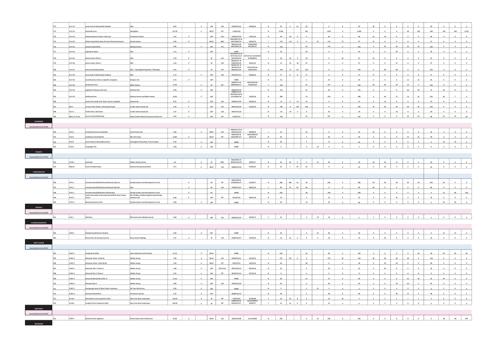|                                  | <b>H-LV 12</b>    | Land north of Almondvale Stadium                    |                                                  | 0.62     |                             | $\mathcal{L}^{\pm}$         | LDP                       | Full           | 0544/FUL/15                     | 23/06/16                                 |                | 20                       | $4-1$        | $16\,$<br>$\mathbf{20}$             |                          |                          |                |                          | 20                      |                |                         |              |                          |                 |                          |                          |                          |
|----------------------------------|-------------------|-----------------------------------------------------|--------------------------------------------------|----------|-----------------------------|-----------------------------|---------------------------|----------------|---------------------------------|------------------------------------------|----------------|--------------------------|--------------|-------------------------------------|--------------------------|--------------------------|----------------|--------------------------|-------------------------|----------------|-------------------------|--------------|--------------------------|-----------------|--------------------------|--------------------------|--------------------------|
|                                  | <b>H-LV 13</b>    | <b>Savieside Farm</b>                               | Springfield                                      | 121.20   |                             | $\checkmark$                | WLLP                      | PIP            | 1194/P/18                       |                                          | $\,$ N         | 2,500                    |              | 625                                 |                          | 1,875                    | $\circ$        | 2,500                    | $\bullet$               | $\bullet$      | $\bullet$               | 48           | $100\,$                  | 148             | 100                      | 100                      | 2,252                    |
|                                  | <b>H-LV 15</b>    | Kirkton Business Centre / Kirk Lane                 | ersimmon Homes                                   | $1.55\,$ | $\checkmark$                |                             | LDP                       | $_{\rm{Full}}$ | 0196/FUL/18                     | 17/01/19                                 | N              | 40                       | 40           | $6\overline{6}$<br>$\circ$          |                          | 34                       | $\circ$        | 40                       | $21\,$                  | 19             | $\,$ 0 $\,$             | $\bullet$    | $\,$ 0 $\,$              | 40              | $\bullet$                | $\bullet$                | $\overline{\phantom{a}}$ |
|                                  |                   |                                                     |                                                  |          |                             |                             |                           |                | 0926/MSC/15 &                   |                                          |                |                          |              |                                     |                          |                          |                |                          |                         |                |                         |              |                          |                 |                          |                          |                          |
|                                  | <b>H-LV 22</b>    | Kirkton Road North (site of former Buchanan House)  | arratt Homes                                     | 3.90     | $\mathcal{L}_{\mathcal{A}}$ |                             | WLLP                      | MSC            | 0927/MSC/15<br>0822/P/13 &      | 26/02/16<br>15/06/2018                   | $\gamma$       | 112                      | 112          | $\circ$                             | $\circ$<br>$\mathsf{cs}$ | 112                      | 75             | 37                       | 37                      | $\circ$        | $\circ$                 | $\circ$      | $\circ$                  | 37              | $\circ$                  | $\circ$                  | $\circ$                  |
|                                  | <b>H-LV 23</b>    | Houston Road North                                  | Bellway Homes                                    | 5.80     |                             | $\mathcal{L}_{\mathcal{A}}$ | LDP                       | PiP            | 0814/MSC/18                     | &25/06/19                                | N              | 130                      |              | 20                                  |                          | 110                      | $\circ$        | 130                      | $\circ$                 | 36             | 36                      | 36           | 22                       | 130             | $\circ$                  | $\circ$                  | $\overline{\phantom{0}}$ |
|                                  | <b>H-LV 24</b>    | Eagle Brae Depot                                    |                                                  | 1.12     | $\epsilon$                  |                             | LDP                       |                | NONE<br>0625/MSC/15 &           |                                          | $\mathbf{N}$   | 30 <sub>o</sub>          |              |                                     | 30                       | $\mathfrak o$            | $\circ$        | 30 <sub>2</sub>          | $\bullet$               | $\bullet$      | 30                      | $\bullet$    | $\circ$                  | 30              | $\circ$                  | $\circ$                  | $\bullet$                |
|                                  |                   |                                                     |                                                  |          |                             |                             |                           |                |                                 | 0371/FUL/15 & 24/7/15 & 15/10/2015       |                |                          |              |                                     |                          |                          |                |                          |                         |                |                         |              |                          |                 |                          |                          |                          |
|                                  | <b>H-LV 25</b>    | Deans South, Phase 1                                |                                                  | 1.70     | $\mathcal{L}_{\mathcal{A}}$ |                             | W                         | Full           | 0413/FUL/16<br>0834/P/14 &      | & 09/08/16                               |                | 54                       | 54           | $\circ$<br>54                       |                          | $\circ$                  | 33             | $\bf{21}$                | $\mathbf{21}$           |                |                         | $\circ$      |                          |                 |                          |                          |                          |
|                                  | <b>H-LV 26</b>    | Deans South, Phase 2                                | wLC                                              | 1.20     | $\mathcal{L}_{\mathcal{A}}$ |                             | $\ensuremath{\mathsf{w}}$ | Full           | $\frac{0182/FUL/18}{0834/P/14}$ | 23/01/15                                 |                | 37                       | 21           | $16\,$<br>37                        |                          | $\circ$                  | $\circ$        | 37                       | $\bullet$               | $\bullet$      | 37                      | $\circ$      | $\circ$                  | 37              | $\circ$                  | $\bullet$                | $\circ$                  |
|                                  | <b>H-LV 27</b>    | <b>Deans South (Remainder)</b>                      | WLC / Springfield Properties / Wheatley          | 4.55     | $\mathcal{L}$               |                             | w                         | PiP            | 0053/P/16&<br>0826/FUL/18       | 23/01/2015 &<br>16/05/2016               |                | 136                      | 71           | 65<br>136                           |                          |                          |                | 136                      | $\Omega$                | 68             | 68                      |              |                          | 136             |                          |                          |                          |
|                                  |                   |                                                     |                                                  |          |                             | $\sim$                      |                           |                |                                 |                                          | N              |                          | $\mathbf{q}$ | $\mathbf{R}$                        |                          |                          |                |                          |                         |                | $\circ$                 |              |                          | 17              | $\circ$                  |                          |                          |
|                                  | <b>H-LV 30</b>    | Land south of Almondvale Stadium                    |                                                  | $1.13\,$ |                             |                             | LDP                       | Full           | 0553/FUL/15                     | 20/06/16                                 |                | $17\,$                   |              | $17\,$                              |                          | $\bullet$                | $\bullet$      | 17                       | 17                      | $\bullet$      |                         | $\circ$      | $\circ$                  |                 |                          | $\overline{0}$           | $\bullet$                |
|                                  | <b>H-LV 32</b>    | Eucal Business Centre, Craigshill, Livingsto        | lizspace Ltd                                     | 0.73     | $\mathcal{L}_{\mathcal{A}}$ |                             | LDP                       |                | NONE<br>0648/P/14 &             | 28/10/2016 &                             | N              | 25                       |              |                                     | 6                        | 19                       | $\bullet$      | 25                       | $\circ$                 | $\bullet$      | $\mathbf 0$             | $12\,$       | 13                       | 25              | $\bullet$                | $\circ$                  | $\bullet$                |
|                                  | <b>H-LV 33</b>    | Brotherton Farm                                     |                                                  | 12.40    |                             | $\mathcal{L}_{\mathcal{A}}$ | $\ensuremath{\mathsf{w}}$ | PiP            | 0900/MSC/17                     | 19/06/2018                               | $\mathbf{v}$   | 150                      |              | 23                                  |                          | 127                      | $\circ$        | 150                      | 60                      | 40             | 40                      | $10\,$       | $\circ$                  | 150             | $\circ$                  | $\circ$                  | $\bullet$                |
|                                  | <b>H-LV 34</b>    | Appleton Parkway north east                         | etwork Rail                                      | 5.58     |                             | $\mathcal{L}_{\mathcal{A}}$ | LDP                       |                | 0482/PAC/19<br>0908/P/15&       |                                          | $\,$ N         | 125                      |              | 31                                  |                          | 94                       | $\circ$        | 125                      | $\circ$                 | $\circ$        |                         | 36           | 36                       | 72              | 36                       | 17                       | $\overline{\mathbf{0}}$  |
|                                  |                   |                                                     |                                                  |          |                             |                             |                           |                | 0922/MSC/18 &                   |                                          |                |                          |              |                                     |                          |                          |                |                          |                         |                |                         |              |                          |                 |                          |                          |                          |
|                                  | <b>H-LV35</b>     | Wellhead Farm                                       | ellway Homes and Miller Home                     | 16.60    |                             | $\mathcal{L}_{\mathcal{A}}$ | LDP                       |                | 0713/MSC/19                     | 14/02/18                                 | N              | 280                      |              | 70                                  |                          | 210                      | $\circ$        | 280                      | $\circ$                 | 40             | 75                      | 76           | 42                       | 233             | 40                       | $\overline{7}$           | $\overline{\mathbf{0}}$  |
|                                  |                   | Land to the South of St. Paul's church, Ladywell    | All bnomin                                       | 0.31     | $\mathcal{L}_{\mathcal{A}}$ |                             | ucs                       | Full           | 0584/FUL/18                     | 19/03/19                                 | N              | 12                       | $\circ$      | 12<br>12                            |                          | $\circ$                  | $\circ$        | 12                       | $\circ$                 | 12             | $\circ$                 | $\circ$      | $\circ$                  | 12              | $\circ$                  | $\bullet$                | $\circ$                  |
|                                  | MU3               | Former Police Station, Almondvale Road              | Cruden Homes (East) Ltd                          | 2.20     | $\mathcal{L}_{\mathcal{A}}$ |                             | LDP                       | Full           | 0907/FUL/18                     | 21/03/19                                 | N              | 146                      | $\circ$      | 146<br>146                          |                          | $\overline{\phantom{0}}$ | $\bullet$      | 146                      | 12                      | 36             | 36                      | 36           | 26                       | 146             | $\bullet$                | $\bullet$                | $\frac{1}{\sqrt{2}}$     |
|                                  | H-LV 3            | <b>Tarbet Drive, Muriestor</b>                      | <b>Cruden Homes (Fast) Ltd</b>                   | 1.37     | $\mathcal{L}_{\mathcal{A}}$ |                             | LDP                       | Full           | 0927/FUL/18                     |                                          | $\mathbf{N}$   | 18                       | 18           | $\sim$                              | $\circ$                  | 18                       | $\bullet$      | 18                       | $\sim$                  | $\sim$         | 18                      | $\theta$     | $\overline{a}$           | 18              | $\sim$                   | $\bullet$                | $\bullet$                |
|                                  | MU4 / E-LV 36     | Land at Charlesfield Road                           | <b>Royal London Mutual Insurance Society Ltd</b> | 6.63     | $\mathcal{L}_{\mathcal{A}}$ |                             | LDP                       | pi             | 0129/P/19                       |                                          | $\mathbf N$    | 142                      |              | 35                                  |                          | 107                      | $\circ$        | 142                      | $\circ$                 | $\circ$        | $\circ$                 | 24           | 24                       | 48              | 24                       | 24                       | 46                       |
|                                  |                   |                                                     |                                                  |          |                             |                             |                           |                |                                 |                                          |                |                          |              |                                     |                          |                          |                |                          |                         |                |                         |              |                          |                 |                          |                          |                          |
| LONGRIDGE                        |                   |                                                     |                                                  |          |                             |                             |                           |                |                                 |                                          |                |                          |              |                                     |                          |                          |                |                          |                         |                |                         |              |                          |                 |                          |                          |                          |
| Housing Market Area WLC02        |                   |                                                     |                                                  |          |                             |                             |                           |                |                                 |                                          |                |                          |              |                                     |                          |                          |                |                          |                         |                |                         |              |                          |                 |                          |                          |                          |
|                                  | $H-LR1$           | Curling Pond Lane (remainder)                       | Lynch Homes Ltd                                  | 1.00     |                             | $\checkmark$                | <b>WLLP</b>               | Full           | 0906/FUL/14 &<br>0421/FUL/19    | 04/08/14                                 |                | 32                       |              | 32                                  |                          |                          |                |                          | 32                      |                |                         |              |                          |                 |                          |                          |                          |
|                                  | $H-LR2$           | Fauldhouse Road (North)                             | WE Link Group                                    | 16.80    | $\epsilon$                  |                             | WLLP                      | PIP            | 0493/P/02 &<br>0332/MSC/17      | $\frac{10/05/2006 \text{ \&}}{26/01/18}$ | N              | 30                       |              |                                     | $\sim$                   | 26                       | $\circ$        |                          | $\bullet$               | $\bullet$      | $\bullet$               | $15\,$       | $15\,$                   | 30              | $\circ$                  | $\bullet$                | $\bullet$                |
|                                  | $H-LR3$           | Land at Back O Moss/Main Street                     | <b>Gleneagles Partnership / D &amp; D Lambie</b> | 2.50     |                             | $\mathcal{L}_{\mathcal{A}}$ | LDP                       |                | NONE                            |                                          | N              | 20                       |              |                                     | $\overline{\mathbf{3}}$  | $17\,$                   | $\circ$        | 20                       | $\mathbf 0$             | $\bullet$      | $\bullet$               | $\bullet$    | $\circ$                  |                 | $10\,$                   | 10                       | $\circ$                  |
|                                  |                   |                                                     |                                                  |          |                             | $\mathcal{L}^{\pm}$         |                           |                |                                 |                                          |                | $\overline{\phantom{a}}$ |              | $\bullet$                           |                          | $\mathfrak o$            |                |                          | $\mathfrak o$           | $\bullet$      | $\circ$                 | $\circ$      | $\circ$                  |                 | $\overline{\phantom{a}}$ | $\circ$                  |                          |
|                                  | $H-LR4$           | Longridge Park                                      |                                                  | 0.30     |                             |                             | LDP                       |                | NONE                            |                                          |                |                          |              |                                     | $\mathsf{cs}$            |                          |                |                          |                         |                |                         |              |                          |                 |                          |                          |                          |
| POLBETH                          |                   |                                                     |                                                  |          |                             |                             |                           |                |                                 |                                          |                |                          |              |                                     |                          |                          |                |                          |                         |                |                         |              |                          |                 |                          |                          |                          |
| Housing Market Area WLC01        |                   |                                                     |                                                  |          |                             |                             |                           |                |                                 |                                          |                |                          |              |                                     |                          |                          |                |                          |                         |                |                         |              |                          |                 |                          |                          |                          |
|                                  | H-LW 1            | <b>Savieside</b>                                    | four Beatty Home                                 | 4.6      |                             | $\mathcal{L}_{\mathcal{A}}$ | W                         | MSC            | 0365/MSC/15<br>&0031/FUL/19     | 29/05/17                                 | N              | 59                       | 59           | $\overline{\phantom{a}}$<br>$\circ$ | $\mathsf{cs}$            | 59                       |                | 59                       | 24                      | 24             | 11                      | $\circ$      | $\circ$                  | 59              | $\circ$                  |                          |                          |
|                                  | HWc10             | <b>Land at Polbeth Road</b>                         |                                                  | 0.71     |                             | $\mathcal{L}^{\pm}$         | w.u.p                     | Full           | 0068/FUL/18                     | 07/08/19                                 | N              | 25                       | $7 \mid 18$  | 25                                  |                          | $\circ$                  | $\circ$        | 25                       | $\circ$                 | 25             | $\circ$                 | $\circ$      | $\circ$                  | 25              | $\bullet$                | $\bullet$                | $\circ$                  |
| PUMPHERSTON                      |                   |                                                     |                                                  |          |                             |                             |                           |                |                                 |                                          |                |                          |              |                                     |                          |                          |                |                          |                         |                |                         |              |                          |                 |                          |                          |                          |
|                                  |                   |                                                     |                                                  |          |                             |                             |                           |                |                                 |                                          |                |                          |              |                                     |                          |                          |                |                          |                         |                |                         |              |                          |                 |                          |                          |                          |
|                                  |                   |                                                     |                                                  |          |                             |                             |                           |                |                                 |                                          |                |                          |              |                                     |                          |                          |                |                          |                         |                |                         |              |                          |                 |                          |                          |                          |
| Housing Market Area WLC01        |                   |                                                     |                                                  |          |                             |                             |                           |                |                                 |                                          |                |                          |              |                                     |                          |                          |                |                          |                         |                |                         |              |                          |                 |                          |                          |                          |
|                                  | H-PU 1            | mshoreland/Kirkforthar Brickworks (Site A)          | das Estates and Development Co Ltd               |          | $\epsilon$                  |                             | <b>RS</b>                 | PiP            | 0050/P/08&<br>0418/MSC/17       | 31/05/17                                 | N              | 286                      | 248          | 18<br>20 <sup>1</sup>               |                          | 266                      | $\sim$         | 286                      | 50                      | 50             | 50                      | 50           | 50                       | 250             | 36                       | $\sim$                   | $\circ$                  |
|                                  | $H-PU1$           | mshoreland/Kirkforthar Bricky                       |                                                  |          | $\mathcal{L}$               |                             | BS                        | Full           | 0708/FUL/15                     | 08/01/16                                 | $\mathbf{Y}$   | 86                       | 56           | 30<br>86                            |                          | $\circ$                  | $\circ$        | 86                       | 86                      | $\bullet$      | $\,$ 0 $\,$             | $\circ$      | $\circ$                  | 86              | $\bullet$                | $\circ$                  | $\bullet$                |
|                                  |                   |                                                     |                                                  |          |                             |                             |                           |                |                                 |                                          |                |                          |              |                                     |                          |                          |                |                          |                         |                |                         |              |                          |                 |                          |                          |                          |
|                                  | $H-PU1$           | and/Kirkforthar (Rem                                | das Estates and Development Co Ltd               |          | $\mathcal{L}_{\mathcal{A}}$ |                             | BS                        |                | NONE                            |                                          | N              | 228                      |              |                                     | 38                       | 190                      | $\circ$        | 228                      | $\circ$                 | $\bullet$      | $\circ$                 | $\circ$      | $\circ$                  | $\circ$         | 14                       | 48                       | 166                      |
|                                  | $H-PU2$           | Land to the South of Drumshoreland Rd & James Young | Mr I Findlay, Facilities Engineering & Design    | 0.48     | $\mathcal{L}$               |                             | LDP                       | PIP            | 0161/P/16                       | 04/07/18                                 | $\,$ N         | $10\,$                   |              | $\,$ 0 $\,$                         |                          | $10\,$                   |                | 10                       | $\mathfrak o$           |                | $10\,$                  |              |                          |                 |                          |                          | $\circ$                  |
|                                  | H-PU 4            |                                                     |                                                  | 2.89     |                             | $\epsilon$                  | LDP                       |                | NONE                            |                                          | $\mathbf{N}$   | 60                       |              | 15                                  |                          | 45                       |                |                          | $\circ$                 | $\sim$         |                         | $\circ$      | $\circ$                  |                 | 24                       | 36                       |                          |
| SEAFIELD                         |                   |                                                     |                                                  |          |                             |                             |                           |                |                                 |                                          |                |                          |              |                                     |                          |                          |                |                          |                         |                |                         |              |                          |                 |                          |                          |                          |
| <b>Jousing Market Area WLC02</b> |                   |                                                     |                                                  |          |                             |                             |                           |                |                                 |                                          |                |                          |              |                                     |                          |                          |                |                          |                         |                |                         |              |                          |                 |                          |                          |                          |
|                                  | H-SF <sub>1</sub> | Old Rows                                            | <b>RR Construction (Redbouse) It</b>             | 0.60     |                             |                             | LDP                       |                |                                 |                                          |                | 10 <sup>10</sup>         |              |                                     | $\sim$                   | 10 <sup>10</sup>         |                |                          |                         |                |                         |              |                          |                 |                          |                          |                          |
|                                  |                   |                                                     |                                                  |          |                             |                             |                           | $_{\rm{Full}}$ | 0460/FUL/10                     | 26/05/15                                 |                |                          |              |                                     |                          |                          |                |                          |                         |                |                         |              |                          |                 |                          |                          |                          |
| STONEYBURN/BENTS                 |                   |                                                     |                                                  |          |                             |                             |                           |                |                                 |                                          |                |                          |              |                                     |                          |                          |                |                          |                         |                |                         |              |                          |                 |                          |                          |                          |
| Housing Market Area WLC02        |                   |                                                     |                                                  |          |                             |                             |                           |                |                                 |                                          |                |                          |              |                                     |                          |                          |                |                          |                         |                |                         |              |                          |                 |                          |                          |                          |
|                                  | H-SB 6            | Meadow Road/Church Garden                           |                                                  | 2.00     |                             |                             | LDP                       |                | NONE                            |                                          |                |                          |              |                                     |                          |                          |                |                          |                         |                |                         |              |                          |                 |                          |                          |                          |
|                                  |                   | Bents Farm, 20 Cannop Cre                           | <b>Bryce Anslie Holding</b>                      | 1.47     | $\epsilon$                  |                             | $\mathbf{w}$              | Full           | 0186/FUL/17                     | 27/02/19                                 | $\mathbf{N}$   | $16\,$                   |              |                                     |                          |                          |                |                          |                         |                |                         |              |                          |                 |                          |                          |                          |
| WEST CALDER                      |                   |                                                     |                                                  |          |                             |                             |                           |                |                                 |                                          |                |                          |              |                                     |                          |                          |                |                          |                         |                |                         |              |                          |                 |                          |                          |                          |
|                                  |                   |                                                     |                                                  |          |                             |                             |                           |                |                                 |                                          |                |                          |              |                                     |                          |                          |                |                          |                         |                |                         |              |                          |                 |                          |                          |                          |
| Housing Market Area WLC01        |                   |                                                     |                                                  |          |                             |                             |                           |                |                                 |                                          |                |                          |              |                                     |                          |                          |                |                          |                         |                |                         |              |                          |                 |                          |                          |                          |
|                                  | $H-WC1$           | Cleugh Brae (CDA)                                   | <b>Alan Graham/A and R Graham</b>                | 12.10    |                             | $\mathcal{L}$               | WLLP                      |                | NONE                            |                                          | $\mathbf{N}$   | 120                      |              | 30 <sup>2</sup>                     |                          | 90                       | $\sim$         | 120                      | $\sim$                  |                |                         |              | 30 <sub>o</sub>          | 30 <sup>2</sup> | 30                       | 30 <sub>2</sub>          | 30                       |
|                                  | $H-WC2$           | ssend, Phase 1 (Site A)                             | Valker Group                                     | 7.00     |                             | $\mathcal{L}_{\mathcal{A}}$ | WLLP                      | Full           | 0349/FUL/11                     | 22/10/14                                 | <b>IV</b>      | 173                      | 173          | $\circ$<br>$\bullet$                |                          | 173                      | 55             | 118                      | 30                      | 30             | 30                      | 28           | $\circ$                  | 118             | $\circ$                  | $\circ$                  | $\circ$                  |
|                                  | H-WC3             | Mossend, Phase 1 (Site B) AH                        | W <u>alker Group</u>                             | 1.90     |                             | $\mathcal{L}_{\mathcal{A}}$ | WLLP                      | PIP            | 0337/P/13                       | 22/10/14                                 | $\,$ $\,$ $\,$ | 58                       |              | 58                                  |                          | $\circ$                  | $\circ$        | 58                       | $\circ$                 | 29             | 29                      | $\bullet$    | $\circ$                  | 58              | $\bullet$                | $\overline{\phantom{a}}$ | $\overline{\phantom{0}}$ |
|                                  |                   |                                                     | Valker Group                                     |          |                             | $\mathcal{L}_{\mathcal{C}}$ |                           |                |                                 |                                          | $\,$ N         |                          |              |                                     |                          |                          | $\circ$        | 32                       |                         |                |                         |              |                          | 32              |                          | $\circ$                  |                          |
|                                  | H-WC 4            | ossend, Site Y, Phase 3                             |                                                  | 1.98     |                             |                             | LDP                       | PIP & Full     | 0875/FUL/14                     | 06/10/16                                 |                | 32                       |              | $\circ$                             |                          | 32                       |                |                          | $\bullet$               | 24             | 8                       | $\bullet$    | $\mathfrak o$            |                 | $\bullet$                |                          | $\circ$                  |
|                                  | $H-WC4$           | Aossend Site Y, Phase 2                             | Walker Group                                     | 0.32     |                             | $\mathcal{L}_{\mathcal{A}}$ | LDP                       | PiP            | 0876/FUL/14                     | 07/10/16                                 | N              | $\mathbf{s}$             |              | $\circ$                             |                          | $\bullet$                | $\circ$        | $\mathbf{s}$             | $\circ$                 | $\bullet$      | $\bullet$               | $\circ$      | $\mathbf{s}$             | $\mathbf{8}$    | $\circ$                  | $\circ$                  | $\overline{\phantom{0}}$ |
|                                  | H-WC 4            | ossend (Remainder) (Site Y)                         | Walker Group                                     | 12.30    |                             | $\mathcal{L}_{\mathcal{A}}$ | LDP                       |                | NONE                            |                                          | $\,$ N         | 84                       |              |                                     | $47\,$                   | 37                       | $\circ$        | 84                       | $\mathfrak{o}$          | $\bullet$      | $\bullet$               | 25           | 30                       | 55              | 29                       | $\circ$                  | $\bullet$                |
|                                  | H-WC 4            | <b>Mossend Site K</b>                               | <b>Walker Group</b>                              | 3.80     |                             | $\mathcal{L}_{\mathcal{A}}$ | LDP                       | Full           | 1026/FUL/18                     |                                          | N              | 65                       |              | $\mathbf 0$                         |                          | 65                       | $\circ$        | 65                       | $\bullet$               | $\bullet$      | 30                      | 30           | $\overline{\phantom{a}}$ | 65              | $\bullet$                | $\bullet$                | $\overline{\phantom{0}}$ |
|                                  | H-WC 5            | <b>Burngrange (west of West Calder cemetery)</b>    | Mr Liam McCartney                                | 0.50     |                             | $\mathcal{L}_{\mathcal{A}}$ | LDP                       |                | NONE                            |                                          | $\,$ N         |                          |              | $\circ$                             | cs                       | $\mathsf{s}$             | $\circ$        | $\overline{\phantom{a}}$ | $\mathfrak o$           | $\circ$        | $\circ$                 | $\circ$      |                          | $\circ$         |                          |                          | $\circ$                  |
|                                  | H-WC 6            | Hartwood Road West                                  |                                                  | 1.55     |                             | $\mathcal{L}_{\mathcal{A}}$ | LDP                       |                | 0848/FUL/19                     |                                          | N              | 48                       |              | $\circ$                             |                          | 48                       | $\overline{0}$ | 48                       | $\overline{\mathbf{0}}$ | $6 -$          | 30                      | 12           | $\circ$                  | 48              | $\circ$                  | $\bullet$                | $\bullet$                |
|                                  |                   |                                                     | New Lives New Landscape                          | 132.00   |                             |                             |                           | PiP            | 1424/P/04                       | 01/04/08                                 | <b>Y</b>       | 19                       | 19           | $\circ$<br>$\circ$                  |                          |                          |                | $5^{\circ}$              | $\mathbf{1}$            | $\mathbf{1}$   | $\mathbf{1}$            |              | $\mathbf{1}$             | 5 <sup>1</sup>  | $\circ$                  |                          |                          |
|                                  | H-LW 4            | West Mains Farm (Lowland Crofts)                    |                                                  |          |                             | $\mathcal{L}_{\mathcal{A}}$ | W                         |                |                                 |                                          |                |                          |              |                                     |                          | 19                       | 14             |                          |                         |                |                         | $\mathbf{1}$ |                          |                 |                          | $\bullet$                | $\bullet$                |
|                                  | H-LW 5            | Longford Farm (Lowland Crofts)                      | New Lives New Landscape                          | 106.00   |                             | $\mathcal{L}^{\pm}$         | $\mathbf{w}$              | $P$ i $P$      | 0188/P/05 &<br>0544/FUL/17      | $\frac{10/10/20088}{20/09/17}$           | $\mathbf{v}$ . | 15                       | 15           | $\circ$<br>$\mathfrak o$            |                          | $15\,$                   | $\overline{9}$ | $\epsilon$               | $\overline{2}$          | $\overline{2}$ | $\overline{\mathbf{2}}$ | $\bullet$    | $\bullet$                |                 | $\bullet$                | $\bullet$                | $\bullet$                |
| <b>WESTFIELD</b>                 |                   |                                                     |                                                  |          |                             |                             |                           |                |                                 |                                          |                |                          |              |                                     |                          |                          |                |                          |                         |                |                         |              |                          |                 |                          |                          |                          |
| Housing Market Area WLC02        | $H-WF1$           | <b>North &amp; South Logiebrae</b>                  |                                                  | 34.00    |                             |                             | WLP                       | $_{\rm{Full}}$ | 1003/FUL/08                     | 13/12/2008                               |                | 550                      |              |                                     | $\mathsf{cs}$            | 550                      |                |                          |                         |                |                         |              |                          |                 |                          |                          |                          |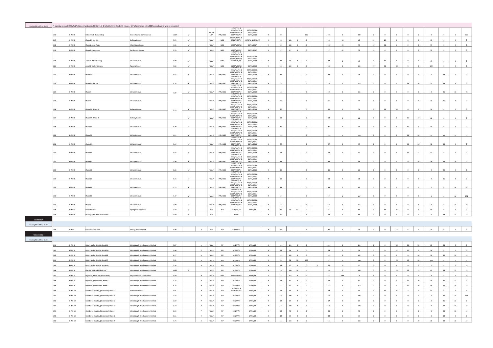|                                  |     |                   | planning consent 0553/FUL/14 covers land area of H-WH 1, 2 & 3, but is lin | hited to 2,000 houses. LDP allows for an extra 900 houses beyond what is consent |                      |                             |               |               | 0493/P/02&                                                                    |                                |                       |              |          |                |               |          |         |            |                      |            |              |        |                 |         |                 |                 |                |
|----------------------------------|-----|-------------------|----------------------------------------------------------------------------|----------------------------------------------------------------------------------|----------------------|-----------------------------|---------------|---------------|-------------------------------------------------------------------------------|--------------------------------|-----------------------|--------------|----------|----------------|---------------|----------|---------|------------|----------------------|------------|--------------|--------|-----------------|---------|-----------------|-----------------|----------------|
|                                  |     |                   |                                                                            |                                                                                  |                      |                             |               |               |                                                                               | 10/05/2006 &                   |                       |              |          |                |               |          |         |            |                      |            |              |        |                 |         |                 |                 |                |
|                                  |     | -WH <sub>3</sub>  |                                                                            | Green Town (Heartlands) Ltd                                                      | 64.67                |                             | WLLP &<br>LDP | PIP / MSC     | 0553/FUL/14 &<br>0332/MSC/17 &<br>0997/MSC/19                                 | $21/12/15$ &<br>26/01/2018     |                       | 900          |          |                | 135           | 765      |         | 900        |                      |            |              |        |                 |         |                 |                 | 900            |
|                                  |     | WH 3              | hase 2A and 2B                                                             |                                                                                  | 5.70<br>$\checkmark$ |                             | WLLP          | MSC           | 0108/MSC/16 &<br>0733/MSC/17                                                  | 16/6/16 & 17/11/17             | $\mathbf{Y}$          | 163          | 163      |                | $\mathfrak o$ | 163      | 98      | 65         | 36                   | 29         |              |        |                 | 65      |                 |                 | $\circ$        |
|                                  |     |                   |                                                                            |                                                                                  |                      |                             |               |               |                                                                               |                                |                       |              |          |                |               |          |         |            |                      |            |              |        |                 |         |                 |                 |                |
|                                  | 218 | H-WH 3            | Phase 2 Allan Wate                                                         | llan Water Hom                                                                   | 4.33<br>$\checkmark$ |                             | WLLP          | MSC           | 0582/MSC/16                                                                   | 24/04/2017                     | $\mathbf{Y}$          | 102          | 102      | $\circ$        | $\circ$       | 102      | 23      | 79         | 46                   | 32         |              |        |                 | 79      | $\circ$         |                 | $\circ$        |
|                                  |     | -WH <sub>3</sub>  | hase 2 Persin                                                              |                                                                                  | 3.70<br>$\mathbf{r}$ |                             | WLLP          | MSC           | 0370/MSC/17<br>0493/P/02 &                                                    | 20/07/2017                     | Y.                    | $117\,$      | $_{117}$ | $\overline{a}$ |               | $_{117}$ | 42      | 75         | 69                   | $\epsilon$ |              |        |                 | 75      | $\circ$         | $\circ$         | $\mathfrak o$  |
|                                  |     |                   |                                                                            |                                                                                  |                      |                             |               |               | 0553/FUL/14 &                                                                 |                                |                       |              |          |                |               |          |         |            |                      |            |              |        |                 |         |                 |                 |                |
|                                  |     |                   |                                                                            |                                                                                  |                      |                             |               |               | 0332/MSC/17 &<br>0997/MSC/19 &<br>0418/FUL/19                                 | 10/05/2006 &                   |                       |              |          |                |               |          |         |            |                      |            |              |        |                 |         |                 |                 |                |
|                                  | 220 | H-WH 3            | .<br>\rea 3A WE link Group                                                 | WE Link Group                                                                    | 1.80<br>٠            |                             | WLLP          | FULL          |                                                                               | 21/12/15 &<br>26/01/2018       |                       | $47\,$       | 47       |                |               | $47\,$   |         | 47         |                      | $47\,$     |              |        |                 | 47      |                 |                 |                |
|                                  |     | E HWH             | Area 3B Taylor Wimpe                                                       | <b>Taylor Wimpo</b>                                                              | $\lambda$<br>3.50    |                             | WLLP          | MSC           |                                                                               | 24/09/2018                     | $\mathbf{v}$          | 122          | $122$    |                |               | 122      |         | 122        | 17                   | so         |              |        |                 | 122     | $\mathbf{a}$    |                 | $\Omega$       |
|                                  |     |                   |                                                                            |                                                                                  |                      |                             |               |               | 0283/MSC/18<br>0493/P/02 &<br>0553/FUL/14 &                                   | 10/05/2006 &                   |                       |              |          |                |               |          |         |            |                      |            |              |        |                 |         |                 |                 |                |
|                                  |     | H-WH 3            |                                                                            | WE Link Group                                                                    | 0.62                 |                             | WLLP          | PIP / MSC     |                                                                               | $\frac{21/12/158}{26/01/2018}$ |                       | 19           |          |                | $\mathfrak o$ | 19       |         |            |                      | $\circ$    |              |        |                 |         | 19              |                 |                |
|                                  | 222 |                   | hase 2D                                                                    |                                                                                  |                      |                             |               |               | 0332/MSC/17 &<br>0997/MSC/19<br>0493/P/02 &                                   |                                |                       |              |          |                |               |          |         | 19         |                      |            |              |        |                 |         |                 |                 |                |
|                                  |     |                   |                                                                            |                                                                                  |                      |                             |               |               | 0553/FUL/14 &<br>0332/MSC/17 &                                                | 10/05/2006 &<br>$21/12/15$ &   |                       |              |          |                |               |          |         |            |                      |            |              |        |                 |         |                 |                 |                |
|                                  |     | WH <sub>3</sub>   | hase 3C and 3D                                                             | WE Link Group                                                                    | 3.74<br>$\checkmark$ |                             | WLLP          | PIP / MSC     | 0997/MSC/19<br>0493/P/02&                                                     | 26/01/2018                     |                       | $_{\rm 114}$ |          |                |               | $114\,$  |         | 114        |                      |            |              |        |                 |         |                 |                 |                |
|                                  |     |                   |                                                                            |                                                                                  |                      |                             |               |               | 0493/F/02 &<br>0553/FUL/14 &<br>0332/MSC/17 &                                 | 10/05/2006 &<br>$21/12/15$ &   |                       |              |          |                |               |          |         |            |                      |            |              |        |                 |         |                 |                 |                |
|                                  |     | -WH <sub>3</sub>  | hase 4                                                                     | WE Link Group                                                                    | $\epsilon$<br>7.09   |                             | WLLP          | PIP / MSC     | 0997/MSC/19<br>0493/P/02&                                                     | 26/01/2018                     | $\mathbf{N}$          | 165          |          |                | $\circ$       | 165      |         |            |                      |            |              |        |                 |         |                 |                 |                |
|                                  |     |                   |                                                                            |                                                                                  |                      |                             |               |               | 0553/FUL/14 &<br>0553/FUL/14 &<br>0332/MSC/17 &                               | 10/05/2006 &                   |                       |              |          |                |               |          |         |            |                      |            |              |        |                 |         |                 |                 |                |
|                                  |     | I-WH 3            |                                                                            | <b>WE Link Group</b>                                                             | $\checkmark$         |                             | WLLP          | PIP / MSC     | 0997/MSC/19<br>0493/P/02&                                                     | $21/12/15$ &<br>26/01/2018     |                       | 75           |          |                | $\circ$       | 75       |         |            |                      |            |              |        |                 |         |                 |                 |                |
|                                  |     |                   |                                                                            |                                                                                  |                      |                             |               |               | 0553/FUL/14 &                                                                 | 10/05/2006 &                   |                       |              |          |                |               |          |         |            |                      |            |              |        |                 |         |                 |                 |                |
|                                  |     | I-WH 3            | hase SA (Phase 1                                                           | hway F                                                                           | ۷                    |                             | WLLP          | PIP / MSC     | 0332/MSC/17 &                                                                 | $21/12/15$ &<br>26/01/2018     |                       | 70           |          |                |               | $70\,$   |         |            |                      |            |              |        |                 |         |                 |                 |                |
|                                  |     |                   |                                                                            |                                                                                  | 5.19                 |                             |               |               | 0997/MSC/19<br>0493/P/02 &<br>0553/FUL/14 &                                   | 10/05/2006 &                   |                       |              |          |                |               |          |         |            |                      |            |              |        |                 |         |                 |                 |                |
|                                  |     |                   |                                                                            |                                                                                  |                      |                             |               |               | 0332/MSC/17 &                                                                 | $21/12/15$ &                   |                       |              |          |                |               |          |         |            |                      |            |              |        |                 |         |                 |                 |                |
|                                  |     | -WH <sub>3</sub>  | ase SA (Phase                                                              |                                                                                  | $\epsilon$           |                             | WLLP          | PIP / MSC     | 0997/MSC/19<br>0493/P/02&                                                     | 26/01/2018                     |                       | 68           |          |                |               | 68       |         |            |                      |            |              |        |                 |         |                 |                 |                |
|                                  |     |                   |                                                                            |                                                                                  |                      |                             |               |               | 04557702 to 0553/FUL/14 &                                                     | 10/05/2006 &<br>21/12/15 &     |                       |              |          |                |               |          |         |            |                      |            |              |        |                 |         |                 |                 |                |
|                                  |     | EWH <sub>3</sub>  | ise 58                                                                     | WE Link Group                                                                    | 0.49<br>$\checkmark$ |                             | WLLP          | PIP / MSC     | 0997/MSC/19<br>0493/P/02&                                                     | 26/01/2018                     | $\mathbb{N}$          | 15           |          |                | $\circ$       | 15       |         |            |                      |            |              | 15     |                 |         |                 |                 |                |
|                                  |     |                   |                                                                            |                                                                                  |                      |                             |               |               | 0553/FUL/14 &<br>0332/MSC/17 &                                                | 10/05/2006 &<br>21/12/15 &     |                       |              |          |                |               |          |         |            |                      |            |              |        |                 |         |                 |                 |                |
|                                  |     | -WH 3             |                                                                            | WE Link Group                                                                    | 4.21                 |                             | WLLP          | PIP / MSC     | 0997/MSC/19<br>0493/P/02&                                                     | 26/01/2018                     |                       | 129          |          |                |               | 129      |         | 129        |                      |            |              |        |                 |         |                 |                 |                |
|                                  |     |                   |                                                                            |                                                                                  |                      |                             |               |               | 0553/FUL/14 &                                                                 | 10/05/2006 &                   |                       |              |          |                |               |          |         |            |                      |            |              |        |                 |         |                 |                 |                |
|                                  |     | WH <sub>3</sub>   |                                                                            | WE Link Group                                                                    | 3.19<br>$\checkmark$ |                             | <b>WLLP</b>   | PIP / MSC     | 0332/MSC/17 &<br>0997/MSC/19<br>0493/P/02 &                                   | $\frac{21/12/15}{26/01/2018}$  |                       | 97           |          |                |               | 97       |         |            |                      |            |              |        |                 |         |                 |                 |                |
|                                  |     |                   |                                                                            |                                                                                  |                      |                             |               |               |                                                                               | 10/05/2006 &                   |                       |              |          |                |               |          |         |            |                      |            |              |        |                 |         |                 |                 |                |
|                                  |     |                   |                                                                            |                                                                                  |                      |                             |               |               | 0553/FUL/14 &<br>0332/MSC/17 &                                                | $21/12/15$ &                   |                       |              |          |                |               |          |         |            |                      |            |              |        |                 |         |                 |                 |                |
|                                  |     | WH <sub>3</sub>   |                                                                            | WE Link Group                                                                    | 1.87<br>٠            |                             | WLLP          | PIP / MSC     | 0997/MSC/19<br>0493/P/02&                                                     | 26/01/2018                     |                       | 57           |          |                |               | 57       |         |            |                      |            |              |        |                 |         |                 |                 |                |
|                                  |     |                   |                                                                            |                                                                                  |                      |                             |               |               | 0553/FUL/14 &<br>0532/MSC/17 &                                                | 10/05/2006 &<br>$21/12/15$ &   |                       |              |          |                |               |          |         |            |                      |            |              |        |                 |         |                 |                 |                |
|                                  |     | -WH <sub>3</sub>  |                                                                            | WE Link Grou                                                                     | 2.90<br>٠            |                             | WLLP          | PIP / MSC     | 0997/MSC/19<br>0493/P/02&                                                     | 26/01/2018                     |                       | 88           |          |                |               | 88       |         |            |                      |            |              |        |                 |         |                 |                 |                |
|                                  |     |                   |                                                                            |                                                                                  |                      |                             |               |               | 0553/FUL/14 &<br>0332/MSC/17 &                                                | 10/05/2006 &                   |                       |              |          |                |               |          |         |            |                      |            |              |        |                 |         |                 |                 |                |
|                                  |     | H-WH <sub>3</sub> | hase 6D                                                                    | WE Link Group                                                                    | 0.86<br>٠            |                             | WLLP          | PIP / MSC     | 0997/MSC/19<br>0493/P/02&                                                     | $21/12/15$ &<br>26/01/2018     | $\mathbf{N}$          | 26           |          |                | $\circ$       | 26       |         |            |                      |            |              |        |                 |         |                 |                 |                |
|                                  |     |                   |                                                                            |                                                                                  |                      |                             |               |               | 0553/FUL/14 &                                                                 | 10/05/2006 &                   |                       |              |          |                |               |          |         |            |                      |            |              |        |                 |         |                 |                 |                |
|                                  |     | WH <sub>3</sub>   |                                                                            | WE Link Group                                                                    | 1.24<br>٠            |                             | <b>WLLP</b>   | PIP / MSC     |                                                                               | $21/12/15$ &<br>26/01/2018     |                       | 38           |          |                | $\mathbf 0$   | 38       |         |            |                      |            |              |        |                 |         |                 |                 |                |
|                                  |     |                   |                                                                            |                                                                                  |                      |                             |               |               |                                                                               | 10/05/2006 &                   |                       |              |          |                |               |          |         |            |                      |            |              |        |                 |         |                 |                 |                |
|                                  |     |                   |                                                                            |                                                                                  |                      |                             |               |               | 0332/MSC/17 &<br>0997/MSC/19<br>0493/P/02 &<br>0553/FUL/14 &<br>0332/MSC/17 & | $21/12/15$ &                   |                       |              |          |                |               |          |         |            |                      |            |              |        |                 |         |                 |                 |                |
|                                  |     | -WH <sub>3</sub>  | .<br>150 SA                                                                | WE Link Group                                                                    | 2.73<br>$\epsilon$   |                             | WLLP          | PIP / MSC     | 0997/MSC/19<br>0493/P/02&                                                     | 26/01/2018                     |                       | 83           |          |                |               | 83       |         |            |                      |            |              |        |                 |         |                 |                 | 47             |
|                                  |     |                   |                                                                            |                                                                                  |                      |                             |               |               | 0553/FUL/14 &<br>0553/FUL/14 &<br>0332/MSC/17 &                               | 10/05/2006 &<br>21/12/15 &     |                       |              |          |                |               |          |         |            |                      |            |              |        |                 |         |                 |                 |                |
|                                  |     | I-WH 3            | hase 8B                                                                    | WE Link Group                                                                    | 4.47<br>$\checkmark$ |                             | WLLP          | PIP / MSC     | 0997/MSC/19<br>0493/P/02&                                                     | 26/01/2018                     | N                     | 137          |          |                | $\circ$       | 137      |         | 137        |                      |            |              |        |                 |         |                 |                 | ${\bf 101}$    |
|                                  |     |                   |                                                                            |                                                                                  |                      |                             |               |               | 0553/FUL/14 &                                                                 | 10/05/2006 &                   |                       |              |          |                |               |          |         |            |                      |            |              |        |                 |         |                 |                 |                |
|                                  |     | I-WH 3            | hase 9                                                                     | <b>WE Link Group</b>                                                             | 3.80                 |                             | WLLP          | PIP / MSO     | 0332/MSC/17 &<br>0997/MSC/19                                                  | $21/12/15$ &<br>26/01/2018     |                       | 116          |          |                |               | 116      |         | 116        |                      |            |              |        |                 |         |                 |                 | 80             |
|                                  |     | H-WH 5            | ixon Terrace                                                               | pringfield Prop                                                                  | 2.50<br>$\checkmark$ |                             | LDP           | Full          | 0110/FUL/17                                                                   | 14/03/18                       | $\overline{N}$        | 85           | 23       | 62             | 85            | $\circ$  |         | 85         | $\circ$              | 40         | 45           |        |                 |         |                 |                 | $\mathbf 0$    |
|                                  |     | MH <sub>7</sub>   |                                                                            |                                                                                  |                      |                             |               |               |                                                                               |                                | $\overline{N}$        | 60           |          |                |               | 51       |         |            |                      |            |              |        |                 |         |                 |                 |                |
|                                  |     |                   | aysgate, West Main St                                                      |                                                                                  | 2.60<br>$\checkmark$ |                             | LDP           |               | NONE                                                                          |                                |                       |              |          |                |               |          |         |            |                      |            |              |        |                 |         |                 |                 |                |
|                                  |     |                   |                                                                            |                                                                                  |                      |                             |               |               |                                                                               |                                |                       |              |          |                |               |          |         |            |                      |            |              |        |                 |         |                 |                 |                |
| <b>Housing Market Area WLC01</b> |     |                   |                                                                            |                                                                                  |                      |                             |               |               |                                                                               |                                |                       |              |          |                |               |          |         |            |                      |            |              |        |                 |         |                 |                 |                |
|                                  |     |                   |                                                                            |                                                                                  | 1.80                 | $\mathcal{L}_{\mathcal{A}}$ |               |               |                                                                               |                                | $\overline{N}$        |              |          |                |               | $19$     |         |            |                      |            |              |        |                 |         |                 |                 |                |
|                                  |     | H-WI <sub>2</sub> | East Coxydene Farm                                                         | <b>Stirling Development</b>                                                      |                      |                             | LDP           | PIP           | 0761/P/18                                                                     |                                |                       | 25           |          |                |               |          |         |            |                      |            |              |        |                 |         |                 |                 |                |
| WINCHBURGH                       |     |                   |                                                                            |                                                                                  |                      |                             |               |               |                                                                               |                                |                       |              |          |                |               |          |         |            |                      |            |              |        |                 |         |                 |                 |                |
|                                  |     |                   |                                                                            |                                                                                  |                      |                             |               |               |                                                                               |                                |                       |              |          |                |               |          |         |            |                      |            |              |        |                 |         |                 |                 |                |
|                                  |     |                   |                                                                            |                                                                                  |                      | $\epsilon$                  |               |               |                                                                               |                                |                       |              |          |                |               |          |         |            |                      |            |              |        |                 |         |                 |                 |                |
|                                  |     | MB <sub>3</sub>   | <b>iddry Mains (North), Block CO</b>                                       | hburgh Dev                                                                       | 3.27                 |                             | WLLP          | $_{\rm{pip}}$ | 1012/P/05                                                                     | 17/04/12                       |                       | $121$        | $121\,$  |                |               | $121\,$  |         | 121        |                      |            |              |        |                 |         |                 |                 |                |
|                                  |     | E BW-             | <b>Giddry Mains (North), Block DD</b>                                      |                                                                                  | 1.46                 | $\mathcal{L}_{\mathcal{A}}$ | <b>WLLP</b>   | PIP           | 1012/P/05                                                                     | 17/04/12                       | $\mathbb{N}$          | 54           | 54       | $\overline{a}$ | $\circ$       | 54       |         | 54         |                      |            | 27           | $27\,$ |                 | 54      | $\circ$         |                 | $\circ$        |
|                                  |     | H-WB 3            | iddry Mains (North), Block El                                              |                                                                                  | 6.17                 | $\mathcal{L}$               | <b>VILLP</b>  | $_{\rm{pip}}$ | 1012/P/05                                                                     | 17/04/12                       | $\boldsymbol{\kappa}$ | 142          | 142      |                | $\circ$       | 142      |         | 142        |                      |            |              |        | 30              | 30      | 30              | 30              | 52             |
|                                  |     | E BW-H            |                                                                            |                                                                                  | 3.52                 | $\checkmark$                | WLLP          | $_{\rm{PIP}}$ | 1012/P/05                                                                     | 17/04/12                       | $\overline{N}$        | 100          | 50       | 50             | 100           | $\circ$  |         | 100        |                      |            | 20           | 40     | $40\,$          | 100     | $\circ$         |                 | $\circ$        |
|                                  |     |                   | iddry Mains (North), Block                                                 |                                                                                  |                      |                             |               |               |                                                                               |                                |                       |              |          |                |               |          |         |            |                      |            |              |        |                 |         |                 |                 |                |
|                                  |     | H-WB 3            | ddry Mains (North), Block G                                                |                                                                                  | 2.58                 | $\mathcal{L}_{\mathcal{C}}$ | WLLP          | PiP           | 1012/P/05                                                                     | 17/04/12                       | $\,$ M $\,$           | 57           | 57       |                | $\circ$       | 57       | $\circ$ | 57         | $\circ$              |            |              |        | $\circ$         | $\circ$ | $\circ$         |                 | 57             |
|                                  |     | I-WB 4            | lay Pit, Park & Blocks S and                                               |                                                                                  | 14.50                |                             | WLLP          | PiP           | 1012/P/05                                                                     | 17/04/12                       | $\mathbf{M}$          | 166          | 140      | 26             | 88            | 166      |         | 166        |                      |            |              | 25     | 13              | 63      | 25              |                 | 53             |
|                                  |     | H-WB 5            | eside, Block AA, (Seton Park                                               |                                                                                  | 5.60                 | $\checkmark$                | WLLP          | MSC           | 0426/MSC/13                                                                   | 23/08/13                       | $\mathbf{Y}$ .        | 153          | 153      |                | $\circ$       | 153      | 144     | $\ddot{q}$ | $\ddot{\phantom{a}}$ | $\circ$    | $\mathbf{a}$ |        | $\circ$         |         | $\circ$         |                 | $\circ$        |
|                                  |     |                   |                                                                            |                                                                                  |                      |                             |               |               |                                                                               |                                |                       |              |          |                |               |          |         |            |                      |            |              |        |                 |         |                 |                 |                |
|                                  |     | H-WB 6            | reside, (Remainder), Block                                                 |                                                                                  | 3.25                 | $\mathcal{L}$               | WLLP          | PiP           | 1012/P/05                                                                     | 17/04/12                       | N                     | 97           | 97       |                | $\circ$       | 97       |         |            | $\circ$              | $\circ$    | $\sim$       | 20     | 30              |         |                 |                 |                |
|                                  |     | H-WB 6            |                                                                            |                                                                                  | 4.24                 | $\mathcal{L}$               | WLLP          | PiP           | 1012/P/05                                                                     | 17/04/12                       | N                     | 157          | 157      | $\circ$        | $\circ$       | 157      |         | 157        | $\circ$              | $\circ$    | $\circ$      | 20     | 30              | 50      | 30 <sup>2</sup> |                 | 47             |
|                                  |     | H-WB 10           |                                                                            |                                                                                  | 1.01                 | $\mathcal{L}$               | WLLP          | PiP           | 1012/P/05 &<br>0662/MSC/19                                                    | 17/04/12                       | $\mathbf{M}$          | 53           | 53       |                | $\mathbf{a}$  | 53       |         | 53         | $\sim$               | 25         | 25           |        |                 |         |                 |                 |                |
|                                  |     |                   |                                                                            |                                                                                  |                      |                             |               |               |                                                                               |                                |                       |              |          |                |               |          |         |            |                      |            |              |        |                 |         |                 |                 |                |
|                                  |     | -WB 10            | tvon (South), (Rem                                                         | burgh Developments                                                               | 7.43                 | $\overline{\phantom{a}}$    | WLLP          | $_{\rm{pip}}$ | 1012/P/05                                                                     | 17/04/12                       | $_{\rm N}$            | 198          | 198      |                |               | 198      |         | 198        |                      |            |              |        |                 |         |                 |                 | 138            |
|                                  |     | H-WB 10           |                                                                            |                                                                                  | 2.69                 | $\mathcal{L}$               | WLLP          | PiP           | 1012/P/05                                                                     | 17/04/12                       | $\,$ $\,$             | $_{\rm 67}$  | 67       |                |               | 67       |         | 67         |                      |            |              |        |                 |         | 35              | 32              | $\mathfrak o$  |
|                                  |     | WB 10             |                                                                            |                                                                                  | 5.10                 | $\mathcal{L}$               | WLLP          | $_{\rm{pip}}$ | 1012/P/05                                                                     | 17/04/12                       | $\boldsymbol{\kappa}$ | 128          | 128      |                |               | 128      |         | 128        |                      |            |              |        |                 |         | 30              | 16              | 82             |
|                                  |     |                   |                                                                            |                                                                                  |                      |                             |               |               |                                                                               |                                |                       |              |          |                |               |          |         |            |                      |            |              |        |                 |         |                 |                 |                |
|                                  |     | H-WB 10           | on (South), (                                                              |                                                                                  | 2.93                 | $\checkmark$                | WLLP          | PiP           | 1012/P/05                                                                     | 17/04/12                       | $\boldsymbol{\kappa}$ | 73           | 73       |                |               | 73       |         | 73         | $\circ$              |            |              |        |                 |         | 30              | 30              | 13             |
|                                  |     | H-WB 10           | on (South), (Remainder) Block D                                            |                                                                                  | 0.51                 | $\checkmark$                | WLLP          | $_{\rm{PIP}}$ | 1012/P/05                                                                     | 17/04/12                       | $\overline{N}$        | 14           | 14       |                |               | $14\,$   |         | 14         |                      |            |              |        |                 |         | $_{\rm 14}$     |                 | $\circ$        |
|                                  |     | 1010              |                                                                            |                                                                                  | A, 7A                | $\mathcal{L}$               |               | pip           |                                                                               | 17/04/12                       | <b>ALC</b>            | 122          | 122      |                |               | 122      |         | 122        |                      |            |              |        | 20 <sub>2</sub> |         | 20 <sup>o</sup> | 20 <sub>2</sub> | $\overline{a}$ |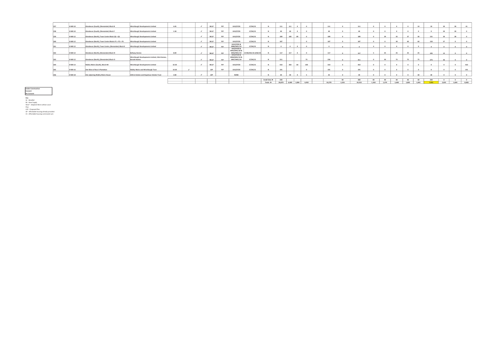| 257            | <b>H-WB 10</b>     | Glendevon (South), (Remainder) Block B              | Winchburgh Developments Limited                                      | 4.45  |  | WLLP        | pip | 1012/P/05                                  | 17/04/12             |             | 111             | 111   |       |       | 111    |       | 111    |                 |       |                 |       | 10              |       |       | 30    | 41    |
|----------------|--------------------|-----------------------------------------------------|----------------------------------------------------------------------|-------|--|-------------|-----|--------------------------------------------|----------------------|-------------|-----------------|-------|-------|-------|--------|-------|--------|-----------------|-------|-----------------|-------|-----------------|-------|-------|-------|-------|
| <b>SCO</b>     | <b>H-WB10</b>      | Glendevon (South), (Remainder) Block F              | Winchburgh Developments Limited                                      | 1.58  |  | <b>WIIP</b> | pip | 1012/P/05                                  | 17/04/12             |             |                 | 40    |       |       | 40     |       | 40     |                 |       |                 |       |                 |       | 20    | 20    |       |
| <b>SEG</b>     | H-WB <sub>12</sub> | Glendevon (North), Town Centre Block Q2 + Q1        | Winchburgh Developments Limited                                      |       |  | WLLP        | pip | 1012/P/05                                  | 17/04/12             |             | 189             | 100   |       |       | 189    |       | 189    |                 | 29    |                 | 37    | 30              | 131   |       |       |       |
|                | <b>H-WB 12</b>     | Glendevon (North), Town Centre Blocks P1 + P2 + P3  | Winchburgh Developments Limited                                      |       |  | <b>WIIP</b> | pip | 1012/P/05                                  | 17/04/12             |             | 187             |       |       |       | 187    |       | 187    |                 |       | 30 <sub>0</sub> | 60    | 60              | 150   |       |       |       |
|                | H-WB <sub>12</sub> | Glendevon (North), Town Centre, (Remainder) Block K | Winchburgh Developments Limited                                      |       |  | WLLP        | pip | 1012/P/05 &<br>0986/MSC/19                 | 17/04/12             |             |                 |       |       |       |        |       |        |                 |       |                 |       |                 |       |       |       |       |
| 262            | H-WB <sub>12</sub> | Glendevon (North), (Remainder) Block N              | <b>Bellway Homes</b>                                                 | 8.00  |  | WLLP        | pip | 1012/P/05&<br>0945/MSC/18 &<br>0926/MSC/19 | 17/04/2012 & 4/02/19 |             | 117             | 117   |       |       | 117    |       | 117    |                 | 25    | 25              | 25    | 25              | 105   |       |       |       |
| 2 <sub>2</sub> | H-WB <sub>12</sub> | Glendevon (North), (Remainder) Block O              | Winchburgh Developments Limited, CALA Homes,<br><b>Barratt Homes</b> |       |  | <b>MILP</b> | pip | 1012/P/05&<br>0900/MSC/19 &<br>0967/MSC/19 | 17/04/12             |             | 311             |       |       |       | 236    |       | 311    |                 | 50    | 75              | 75    | 75              | 275   |       |       |       |
| 26.6           | H-WB <sub>13</sub> | Niddry Mains (South), Block HH                      | Winchburgh Developments Limited                                      | 32.50 |  | WLLP        | pip | 1012/P/05                                  | 17/04/12             |             | 410             | 350   |       | 100   | 310    |       | 410    |                 |       |                 |       |                 |       |       |       | 410   |
|                | <b>H-WB 16</b>     | Site West of Ross's Plantation                      | Niddry Mains and Winchburgh Trust                                    | 10.30 |  | LDP         | pip | 1012/P/05                                  | 17/04/12             |             | 191             |       |       |       | 191    |       | 191    |                 |       |                 |       |                 |       |       |       | 191   |
|                | H-WB 18            | Site adjoining Niddry Mains House                   | Aithrie Estates and Hopetoun Estates Trust                           | 2.80  |  | LDP         |     | NONE                                       |                      |             | 30 <sub>1</sub> | an    |       |       | 25     |       | 74     |                 |       |                 |       | 20 <sup>o</sup> |       |       |       |       |
|                |                    |                                                     |                                                                      |       |  |             |     |                                            |                      |             |                 |       |       |       |        |       |        |                 |       |                 |       |                 |       |       |       |       |
|                |                    |                                                     |                                                                      |       |  |             |     |                                            |                      | Small Sites | 240             |       |       |       |        |       | 200    | 40 <sup>1</sup> | 40    | 40              | 40    | 40              | 200   |       |       |       |
|                |                    |                                                     |                                                                      |       |  |             |     |                                            |                      | Totals P    | 20,879          | 6,469 | 1.084 | 4,450 | 16,278 | 1.326 | 19.553 | 1.263           | 1.374 | 1,648           | 1,805 | 1,841           | 7.931 | 2,035 | 1,604 | 8,083 |

Under Construction Consent No Consent

Key<br>W - Windfall<br>WLLP - Adopted West Lothian Local<br>Plan<br>LDP - Proposed Plan<br>AP - Affordable housing commuted sum<br>CS - Affordable housing commuted sum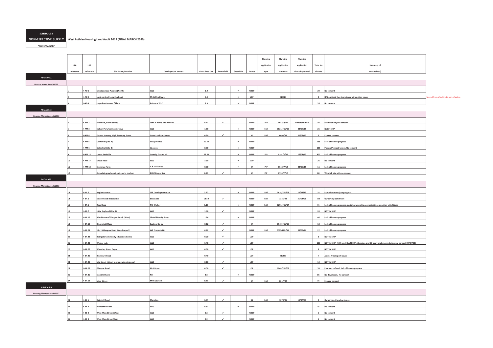#### <u>SCHEDULE 3</u>

NON-EFFECTIVE SUPPLY West Lothian Housing Land Audit 2019 (FINAL MARCH 2020)

"CONSTRAINED"

|                                  |           |                   |                                            |                             |                            |                             |              |               | Planning    | Planning    | Planning         |                 |                                                                                                    |                                       |
|----------------------------------|-----------|-------------------|--------------------------------------------|-----------------------------|----------------------------|-----------------------------|--------------|---------------|-------------|-------------|------------------|-----------------|----------------------------------------------------------------------------------------------------|---------------------------------------|
|                                  | HLA       | LDP               |                                            |                             |                            |                             |              |               | application | application | application      | <b>Total No</b> | Summary of                                                                                         |                                       |
|                                  | reference | reference         | Site Name/Location                         | Developer (or owner)        | Gross Area (ha) Brownfield |                             | Greenfield   | Source        | type        | reference   | date of approval | of units        | constraint(s)                                                                                      |                                       |
| ADDIEWELL                        |           |                   |                                            |                             |                            |                             |              |               |             |             |                  |                 |                                                                                                    |                                       |
| Housing Market Area WLC02        |           |                   |                                            |                             |                            |                             |              |               |             |             |                  |                 |                                                                                                    |                                       |
|                                  |           | H-AD <sub>2</sub> | Meadowhead Avenue (North)                  | <b>WLC</b>                  | 1.0                        |                             | $\checkmark$ | WLLP          |             |             |                  |                 | 20 No consent                                                                                      |                                       |
|                                  |           | H-AD <sub>3</sub> | Land north of Loganiea Road                | Mr & Mrs Doyle              | 0.4                        |                             | $\checkmark$ | LDP           |             | <b>NONE</b> |                  |                 | 5 HFS outlined that there is contaimination issues                                                 | Moved from effective to non-effective |
|                                  |           |                   |                                            |                             |                            |                             | $\checkmark$ |               |             |             |                  |                 |                                                                                                    |                                       |
|                                  |           | H-AD 4            | Loganiea Crescent / Place                  | Private + WLC               | 2.3                        |                             |              | WLLP          |             |             |                  |                 | 35 No consent                                                                                      |                                       |
| ARMADALE                         |           |                   |                                            |                             |                            |                             |              |               |             |             |                  |                 |                                                                                                    |                                       |
| <b>Housing Market Area WLC02</b> |           |                   |                                            |                             |                            |                             |              |               |             |             |                  |                 |                                                                                                    |                                       |
|                                  |           | $H-AM1$           | Muirfield, North Street,                   | John R Harris and Partners  | 0.27                       | $\checkmark$                |              | WLLP          | PiP         | 0032/P/09   | Undetermined     |                 | 10 Marketability/No consent                                                                        |                                       |
|                                  |           | $H-AM3$           | Nelson Park/Mallace Avenue                 | <b>WLC</b>                  | 1.60                       |                             | $\checkmark$ | <b>WLLP</b>   | Full        | 0824/FUL/15 | 03/07/15         |                 | 26 Not in SHIP                                                                                     |                                       |
|                                  |           | H-AM 4            | Former Nursery, High Academy Street        | <b>Lucas Land Purchases</b> | 0.20                       | $\checkmark$                |              | ${\mathsf w}$ | Full        | 0403/08     | 01/07/13         |                 | 6 Expired consent                                                                                  |                                       |
|                                  |           | H-AM 5            | Colinshiel (Site A)                        | WLC/Dundas                  | 10.30                      |                             | $\checkmark$ | WLLP          |             |             |                  |                 | 135 Lack of known progress                                                                         |                                       |
|                                  |           | H-AM 6            | Colinshiel (Site B)                        | W Jones                     | 8.80                       |                             | $\checkmark$ | WLLP          |             |             |                  |                 | 135 Physical/Infrastructure/No consent                                                             |                                       |
|                                  |           | <b>H-AM 15</b>    | Lower Bathville                            | Catesby Estates plc         | 27.60                      |                             | $\epsilon$   | WLLP          | PiP         | 0191/P/09   | 15/01/13         |                 | 400 Lack of known progress                                                                         |                                       |
|                                  | 10        | <b>H-AM 17</b>    | Drove Road                                 | <b>WLC</b>                  | 3.30                       |                             | $\checkmark$ | LDP           |             |             |                  |                 | 26 No consent                                                                                      |                                       |
|                                  |           |                   |                                            | A & J Gilchrist             | 0.80                       |                             | $\checkmark$ | ${\mathsf w}$ | PiP         |             |                  |                 |                                                                                                    |                                       |
|                                  |           |                   | H-AM 18 Stonerigg Farm                     |                             |                            | $\epsilon$                  |              |               |             | 0542/P/12   | 03/08/15         |                 | 11 Lack of known progress                                                                          |                                       |
|                                  | 12        |                   | Armadale greyhound and sports stadium      | <b>BCBC Properties</b>      | 2.70                       |                             |              | $\mathsf{w}$  | PiP         | 0735/P/17   |                  |                 | 80 Windfall site with no consent                                                                   |                                       |
| <b>Housing Market Area WLC02</b> |           | H-BA <sub>5</sub> | Napier Avenue                              | <b>JBB Developments Ltd</b> | 3.20                       |                             | $\checkmark$ | WLLP          | Full        | 0614/FUL/08 | 28/08/13         |                 | 10 Lapsed consent / no progress                                                                    |                                       |
|                                  |           | H-BA6             | Easton Road (Sibcas site)                  | Sibcas Ltd                  | 12.50                      | $\mathcal{L}_{\mathcal{A}}$ |              | WLLP          | Full        | 1335/04     | 21/12/05         |                 | 298 Ownership constraint                                                                           |                                       |
|                                  | 15        | H-BA <sub>6</sub> | Race Road                                  | <b>RW Walker</b>            | 1.16                       |                             | $\checkmark$ | WLLP          | Full        | 0291/FUL/14 |                  |                 | 15 Lack of known progress, posible ownership constraint in conjunction with Sibcas                 |                                       |
|                                  | 16        | H-BA <sub>7</sub> | Little Boghead (Site 2)                    | <b>WLC</b>                  | 1.10                       | $\mathcal{L}_{\mathcal{A}}$ |              | WILP          |             |             |                  |                 | 20 NOT IN SHIP                                                                                     |                                       |
|                                  |           |                   | H-BA 15 Windyknowe/Glasgow Road, (West)    | <b>Sibbald Family Trust</b> | 1.26                       |                             | $\checkmark$ | <b>WLLP</b>   |             |             |                  |                 | 46 Lack of known progress                                                                          |                                       |
|                                  |           | <b>H-BA19</b>     | <b>Bloomfield Place</b>                    | Scotmid Co-op               | 0.12                       | $\mathcal{L}$               |              | $\mathsf{w}$  |             | 0940/FUL/15 |                  |                 | 18 Lack of known progress                                                                          |                                       |
|                                  |           | <b>H-BA 21</b>    | 13 - 15 Glasgow Road (Meadowpark)          | <b>WB Property Ltd</b>      | 0.12                       | $\mathcal{L}_{\mathcal{A}}$ |              | <b>WLLP</b>   | Full        | 0093/FUL/08 | 09/09/14         |                 | 22 Lack of known progress                                                                          |                                       |
|                                  |           | <b>H-BA 22</b>    | <b>Bathgate Community Education Centre</b> | WLC                         | 0.20                       | $\mathcal{L}$               |              | LDP           |             |             |                  |                 | 6 NOT IN SHIP                                                                                      |                                       |
|                                  |           | <b>H-BA 23</b>    | Wester Inch                                | <b>WLC</b>                  | 5.40                       | $\mathcal{L}$               |              | LDP           |             |             |                  |                 | 100 NOT IN SHIP. (50 from H-BA23 LDP allocation and 50 from implemented planning consent 0972/P01) |                                       |
|                                  | 22        | <b>H-BA 25</b>    | <b>Waverley Street Depot</b>               | WLC                         | 0.30                       | $\checkmark$                |              | LDP           |             |             |                  |                 | 8 NOT IN SHIP                                                                                      |                                       |
|                                  | 23        | <b>H-BA 26</b>    | <b>Blackburn Road</b>                      |                             | 0.40                       |                             |              | LDP           |             | <b>NONE</b> |                  |                 | N Access / transport issues                                                                        |                                       |
|                                  | 24        | <b>H-BA 28</b>    |                                            | <b>WLC</b>                  | 0.10                       | $\checkmark$                |              | LDP           |             |             |                  |                 | 10 NOT IN SHIP                                                                                     |                                       |
|                                  |           |                   | Mid Street (site of former swimming pool)  |                             |                            |                             |              |               |             |             |                  |                 |                                                                                                    |                                       |
|                                  | 25        | <b>H-BA 29</b>    | Glasgow Road                               | Mr J Bryce                  | 0.50                       | $\checkmark$                |              | LDP           |             | 0248/FUL/08 |                  |                 | 53 Planning refused, lack of known progress                                                        |                                       |
|                                  |           | H-BA 30           | Standhill Farm                             |                             | 3.8                        |                             | $\checkmark$ | <b>WLLP</b>   |             |             |                  |                 | 85 No developer / No consent                                                                       |                                       |
|                                  | 27        | <b>H-BA12</b>     | Main Street                                | Mr R Lawson                 | 0.23                       | $\checkmark$                |              | W             | Full        | 0217/02     |                  |                 | 15 Expired consent                                                                                 |                                       |
| <b>BLACKBURN</b>                 |           |                   |                                            |                             |                            |                             |              |               |             |             |                  |                 |                                                                                                    |                                       |
| <b>Housing Market Area WLC02</b> |           |                   |                                            |                             |                            |                             |              |               |             |             |                  |                 |                                                                                                    |                                       |
|                                  |           | H-RR 1            | Daisyhill Road                             | Meridian                    | 3.54                       | $\checkmark$                |              | <b>BS</b>     | Full        | 1270/05     | 18/07/06         |                 | 9 Ownership / funding issues                                                                       |                                       |
|                                  |           | $H-BB2$           | Riddochhill Road                           | WLC                         | 0.57                       |                             | $\epsilon$   | WLLP          |             |             |                  | 15              | No consent                                                                                         |                                       |
|                                  |           | $H-BB3$           | West Main Street (West)                    | WLC                         | 0.2                        | $\checkmark$                |              | WLLP          |             |             |                  | $6\overline{6}$ | No consent                                                                                         |                                       |
|                                  |           |                   |                                            | WLC                         | 0.2                        | $\overline{a}$              |              | WLLP          |             |             |                  | $6\overline{6}$ | No consent                                                                                         |                                       |
|                                  |           | $H-BB4$           | West Main Street (East)                    |                             |                            |                             |              |               |             |             |                  |                 |                                                                                                    |                                       |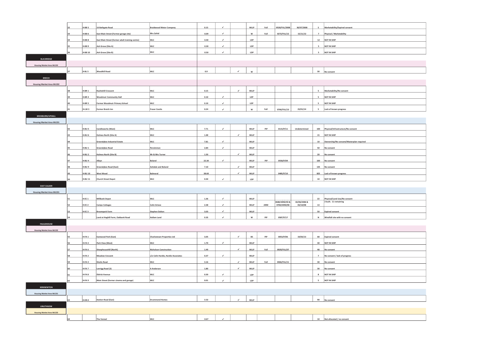|                                  |    | H-BB <sub>5</sub> | 16 Bathgate Road                                | <b>Braidwood Motor Company</b>      | 0.15      | v                           |                | WLLP         | Full | 0528/FUL/2008 | 30/07/2008<br>$\overline{\phantom{a}}$ | Marketability/Expired consent                         |
|----------------------------------|----|-------------------|-------------------------------------------------|-------------------------------------|-----------|-----------------------------|----------------|--------------|------|---------------|----------------------------------------|-------------------------------------------------------|
|                                  |    | H-BB <sub>6</sub> | East Main Street (Former garage site)           | Mrs Zahid                           | 0.09      | $\checkmark$                |                | w            | Full | 0272/FUL/12   | 15/11/12<br>$\overline{7}$             | Physical / Marketability                              |
|                                  |    | H-BB 8            | East Main Street (former adult training centre) | WLC                                 | 0.40      | $\mathcal{L}$               |                | LDP          |      |               |                                        | 12 NOT IN SHIP                                        |
|                                  | 35 | H-BB 9            | Ash Grove (Site A)                              | WLC                                 | $_{0.30}$ | $\checkmark$                |                | LDP          |      |               | $\mathsf{s}$                           | NOT IN SHIP                                           |
|                                  | 36 | H-BB 10           | Ash Grove (Site B)                              | WLC                                 | $0.50\,$  | $\checkmark$                |                | LDP          |      |               | $5^{\circ}$                            | NOT IN SHIP                                           |
|                                  |    |                   |                                                 |                                     |           |                             |                |              |      |               |                                        |                                                       |
| <b>BLACKRIDGE</b>                |    |                   |                                                 |                                     |           |                             |                |              |      |               |                                        |                                                       |
| Housing Market Area WLC02        |    |                   |                                                 |                                     |           |                             |                |              |      |               |                                        |                                                       |
|                                  | 37 | $H-BL5$           | Woodhill Road                                   | WLC                                 | $0.9\,$   |                             | $\mathcal{L}$  | $\mathsf{w}$ |      |               | 30                                     | No consent                                            |
| <b>BREICH</b>                    |    |                   |                                                 |                                     |           |                             |                |              |      |               |                                        |                                                       |
|                                  |    |                   |                                                 |                                     |           |                             |                |              |      |               |                                        |                                                       |
| <b>Housing Market Area WLC02</b> |    |                   |                                                 |                                     |           |                             |                |              |      |               |                                        |                                                       |
|                                  |    | H-BR <sub>1</sub> | <b>Rashiehill Crescent</b>                      | WLC                                 | 0.15      |                             | $\epsilon$     | WLLP         |      |               |                                        | Marketability/No consent                              |
|                                  |    | H-RR 4            | Woodmuir Community Hall                         | WLC                                 | 0.10      | $\mathcal{L}_{\mathcal{C}}$ |                | LDP          |      |               | $5^{\circ}$                            | NOT IN SHIP                                           |
|                                  |    | H-BR 5            | Former Woodmuir Primary School                  | <b>WLC</b>                          | 0.10      | $\checkmark$                |                | LDP          |      |               | 5                                      | NOT IN SHIP                                           |
|                                  | 41 | H-LW 3            | Former Breich Inn                               | <b>Fraser Coutts</b>                | 0.24      | $\checkmark$                |                | $\mathsf{w}$ | Full | 0766/FUL/13   | $5^{\circ}$<br>23/01/14                | Lack of known progress                                |
|                                  |    |                   |                                                 |                                     |           |                             |                |              |      |               |                                        |                                                       |
| <b>BROXBURN/UPHALL</b>           |    |                   |                                                 |                                     |           |                             |                |              |      |               |                                        |                                                       |
| <b>Housing Market Area WLC01</b> |    |                   |                                                 |                                     |           |                             |                |              |      |               |                                        |                                                       |
|                                  |    | H-BU 5            | <b>Candleworks (West)</b>                       | <b>WLC</b>                          | 7.71      | $\checkmark$                |                | <b>WLLP</b>  | PiP  | 0115/P/11     | Undetermined                           | 100 Physical/Infrastructure/No consent                |
|                                  | 43 | H-BU <sub>6</sub> | Holmes North (Site A)                           | WLC                                 | 1.00      |                             | $\epsilon$     | WLLP         |      |               |                                        | 15 NOT IN SHIP                                        |
|                                  |    |                   | Greendykes Industrial Estate                    | WLC                                 | 7.81      | $\checkmark$                |                | WLLP         |      |               | $10\,$                                 | Ownership/No consent/Masterplan required              |
|                                  |    | H-BU 1            | Greendykes Road                                 | Persimmor                           | 2.84      | $\checkmark$                |                | WLLP         |      |               | 50                                     | No consent                                            |
|                                  |    |                   |                                                 |                                     |           |                             |                |              |      |               |                                        |                                                       |
|                                  |    | H-BU <sub>2</sub> | <b>Holmes North (Site B)</b>                    | Mr & Mrs Turner                     | 1.50      |                             | $\checkmark$   | WLLP         |      |               | 20                                     | No consent                                            |
|                                  |    | H-BU4             | Albyn                                           | Boland                              | 22.30     | $\mathcal{L}$               |                | WLLP         | PiP  | 0558/P/09     | 100                                    | No consent                                            |
|                                  |    | H-BU 9            | Greendykes Road (East)                          | Ashdale and Boland                  | 7.10      |                             | $\overline{ }$ | WLLP         |      |               |                                        | 135 No consent                                        |
|                                  |    | H-BU 10           | West Wood                                       | Balmoral                            | 38.60     |                             | v              | WLLP         |      | 0485/P/10     |                                        | 825 Lack of known progress                            |
|                                  |    | H-BU 11           | Church Street Depot                             | WLC                                 | $_{0.30}$ | $\checkmark$                |                | LDP          |      |               |                                        | 10 NOT IN SHIP                                        |
| <b>EAST CALDER</b>               |    |                   |                                                 |                                     |           |                             |                |              |      |               |                                        |                                                       |
| <b>Housing Market Area WLC01</b> |    |                   |                                                 |                                     |           |                             |                |              |      |               |                                        |                                                       |
|                                  |    |                   |                                                 |                                     |           |                             |                |              |      |               |                                        |                                                       |
|                                  |    | $H-EC1$           | Millbank Depot                                  | WLC                                 | 1.36      | $\epsilon$                  |                | WLLP         |      | 0680/ARM/04 & | 22<br>02/06/2006 &                     | Physical/Land Use/No consent<br>2 built. 11 remaining |
|                                  | 52 | H-EC <sub>2</sub> | Camps Cottages                                  | Colin Grieve                        | 2.38      | $\checkmark$                |                | WLLP         | ARM  | 0700/ARM/08   | 03/10/08<br>$13\,$                     |                                                       |
|                                  | 53 | H-EC <sub>3</sub> | Broompark Farm                                  | <b>Stephen Dalton</b>               | 3.03      | $\checkmark$                |                | WLLP         |      |               | 50                                     | Expired consent                                       |
|                                  | 54 |                   | Land at Hoghill Farm, Oakbank Road              | <b>Hallam Land</b>                  | 0.35      | $\mathcal{L}^{\pm}$         |                | $\mathsf{w}$ | PiP  | 0587/P/17     | N                                      | Windfall site with no consent                         |
| <b>FAULDHOUSE</b>                |    |                   |                                                 |                                     |           |                             |                |              |      |               |                                        |                                                       |
| <b>Housing Market Area WLC02</b> |    |                   |                                                 |                                     |           |                             |                |              |      |               |                                        |                                                       |
|                                  |    |                   |                                                 |                                     |           |                             |                |              |      |               |                                        |                                                       |
|                                  |    | H-FA <sub>1</sub> | Eastwood Park (East)                            | <b>Charlestown Properties Ltd</b>   | 3.05      |                             |                | <b>RS</b>    | pip  | 0053/P/06     | 19/03/13<br>68                         | Expired consent                                       |
|                                  |    | H-FA <sub>3</sub> | Park View (West)                                | wic                                 | 1.70      | $\checkmark$                |                | WLLP         |      |               | 30 <sup>2</sup>                        | NOT IN SHIP                                           |
|                                  |    | H-FA <sub>6</sub> | Sheephousehill (North)                          | <b>Nicholson Construction</b>       | 1.49      |                             | $\checkmark$   | WLLP         | Full | 0929/FUL/07   | 48                                     | No consent                                            |
|                                  |    | H-FA <sub>2</sub> | <b>Meadow Crescent</b>                          | c/o Colin Hardie, Hardie Associates | 0.37      | $\checkmark$                |                | WLLP         |      |               | $\overline{7}$                         | No consent / lack of progress                         |
|                                  |    | H-FA4             | <b>Shotts Road</b>                              | WLC                                 | 3.16      |                             | $\epsilon$     | WLLP         | Full | 0466/FUL/11   | 30                                     | No consent                                            |
|                                  |    | H-FA 7            |                                                 |                                     | 1.80      |                             | v              | WLLP         |      |               | 30                                     |                                                       |
|                                  |    |                   | Lanrigg Road (3)                                | A Anderson                          |           |                             |                |              |      |               |                                        | No consent                                            |
|                                  | 61 | H-FA 8            | <b>Eldrick Avenue</b>                           | WLC                                 | 0.30      | $\checkmark$                |                | LDP          |      |               | 8                                      | NOT IN SHIP                                           |
|                                  | 62 | H-FA 9            | Main Street (former cinema and garage)          | WLC                                 | $_{0.01}$ | $\checkmark$                |                | LDP          |      |               | $\mathsf{s}$                           | NOT IN SHIP                                           |
| KIRKNEWTON                       |    |                   |                                                 |                                     |           |                             |                |              |      |               |                                        |                                                       |
| Housing Market Area WLC01        |    |                   |                                                 |                                     |           |                             |                |              |      |               |                                        |                                                       |
|                                  | 63 | H-KN 2            | Station Road (East)                             | <b>Drummond Homes</b>               | 3.53      |                             |                | WLLP         |      |               | 90                                     | No consent                                            |
| <b>LINLITHGOW</b>                |    |                   |                                                 |                                     |           |                             |                |              |      |               |                                        |                                                       |
|                                  |    |                   |                                                 |                                     |           |                             |                |              |      |               |                                        |                                                       |
| <b>Housing Market Area WLC03</b> |    |                   |                                                 |                                     |           |                             |                |              |      |               |                                        |                                                       |
|                                  |    |                   |                                                 | wLC                                 | 0.67      | $\mathcal{L}$               |                |              |      |               | $10\,$                                 | Not allocated / no consent                            |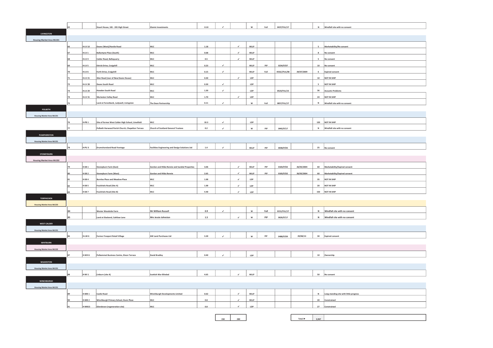|                                  | 65   |                   | Stuart House, 181 - 201 High Street               | <b>Glamis Investments</b>                              | 0.10    |               |              | $\mathsf{w}$ | Full          | 0437/FUL/17  |                             | N            | Windfall site with no consent           |
|----------------------------------|------|-------------------|---------------------------------------------------|--------------------------------------------------------|---------|---------------|--------------|--------------|---------------|--------------|-----------------------------|--------------|-----------------------------------------|
|                                  |      |                   |                                                   |                                                        |         |               |              |              |               |              |                             |              |                                         |
| <b>LIVINGSTON</b>                |      |                   |                                                   |                                                        |         |               |              |              |               |              |                             |              |                                         |
| <b>Housing Market Area WLC01</b> |      |                   |                                                   |                                                        |         |               |              |              |               |              |                             |              |                                         |
|                                  | 66   | H-LV 10           | Deans (West)/Hardie Road                          | <b>WLC</b>                                             | 1.18    |               |              | WLLP         |               |              |                             |              | Marketability/No consent                |
|                                  | 67   | $H$ -LV 1         | <b>Ballantyne Place (South)</b>                   | <b>WLC</b>                                             | 0.68    |               | $\epsilon$   | WLLP         |               |              |                             | $\mathbf{g}$ | No consent                              |
|                                  | 68   | H-LV 4            | Calder Road, Bellsquarry                          | <b>WLC</b>                                             | 0.5     |               | $\checkmark$ | WLLP         |               |              |                             |              | No consent                              |
|                                  |      | H-LV <sub>5</sub> | Ettrick Drive, Craigshill                         | WLC                                                    | 0.23    | ¥.            |              | WLLP         | PiP           | 0234/P/07    |                             | 10           | No consent                              |
|                                  | 70   | H-LV 6            | Forth Drive, Craigshill                           | WLC                                                    | 0.15    | $\checkmark$  |              | WLLP         | Full          | 0532//FUL/08 | 29/07/2009                  | $\epsilon$   | <b>Expired consent</b>                  |
|                                  | 71   | <b>H-LV 21</b>    | Glen Road (rear of New Deans House)               | WLC                                                    | 0.30    |               | $\checkmark$ | LDP          |               |              |                             | 10           | NOT IN SHIP                             |
|                                  | 72   | <b>H-LV 28</b>    | <b>Deans South Road</b>                           | WLC                                                    | 0.30    | $\mathcal{L}$ |              | LDP          |               |              |                             | $\sf s$      | NOT IN SHIP                             |
|                                  | 73   | <b>H-LV 29</b>    | <b>Howden South Road</b>                          | WLC                                                    | 1.30    | $\checkmark$  |              | LDP          |               | 0523/FUL/15  |                             | 36           | <b>Acoustic Problems</b>                |
|                                  | 74   | <b>H-LV 31</b>    | Murieston Valley Road                             | WLC                                                    | 1.70    |               | $\checkmark$ | LDP          |               |              |                             | 24           | NOT IN SHIP                             |
|                                  | 75   |                   | Land at Forestbank, Ladvwell, Livingston          | The Dean Partnership                                   | 0.11    | $\checkmark$  |              | $\mathsf{w}$ | Full          | 0857/FUL/17  |                             | $\,$ N       | Windfall site with no consent           |
| POLBETH                          |      |                   |                                                   |                                                        |         |               |              |              |               |              |                             |              |                                         |
| Housing Market Area WLC01        |      |                   |                                                   |                                                        |         |               |              |              |               |              |                             |              |                                         |
|                                  | 76   | H-PB 1            | Site of former West Calder High School, Limefield | WLC                                                    | 10.3    | $\checkmark$  |              | LDP          |               |              |                             |              | 120 NOT IN SHIP                         |
|                                  | 77   |                   | Polbeth Harwood Parish Church, Chapelton Terrace  | Church of Scotland General Trustees                    | 0.2     | $\checkmark$  |              | $\mathsf{w}$ | $_{\rm{pip}}$ | 0442/P/17    |                             | N            | Windfall site with no consent           |
| <b>PUMPHERSTON</b>               |      |                   |                                                   |                                                        |         |               |              |              |               |              |                             |              |                                         |
| <b>Housing Market Area WLC01</b> |      |                   |                                                   |                                                        |         |               |              |              |               |              |                             |              |                                         |
|                                  | 78   | H-PU <sub>3</sub> | <b>Drumshoreland Road frontage</b>                | <b>Facilities Engineering and Design Solutions Ltd</b> | $1.4\,$ | $\mathcal{L}$ |              | WLLP         | <b>DID</b>    | 0038/P/05    |                             | 25           | No consent                              |
|                                  |      |                   |                                                   |                                                        |         |               |              |              |               |              |                             |              |                                         |
| <b>STONEYBURN</b>                |      |                   |                                                   |                                                        |         |               |              |              |               |              |                             |              |                                         |
| <b>Housing Market Area WLC02</b> |      |                   |                                                   |                                                        |         |               |              |              |               |              |                             |              |                                         |
|                                  | 79   | H-SB <sub>1</sub> | Stoneyburn Farm (East)                            | Gordon and Hilda Rennie and Sundial Properties         | 3.06    |               | $\checkmark$ | WLLP         | PiP           | 0183/P/02    | 26/05/2004                  | 60           | Marketability/Expired consent           |
|                                  |      | H-SB <sub>2</sub> | Stoneyburn Farm (West)                            | <b>Gordon and Hilda Rennie</b>                         | 2.65    |               | $\checkmark$ | WLLP         | PiP           | 0183/P/02    | 26/05/2004                  | 60           | Marketability/Expired consent           |
|                                  | 81   | H-SB <sub>4</sub> | <b>Burnlea Place and Meadow Place</b>             | WLC                                                    | 1.00    |               | $\checkmark$ | LDP          |               |              |                             | 35           | NOT IN SHIP                             |
|                                  | 82   | H-SB <sub>5</sub> | Foulshiels Road (Site A)                          | WLC                                                    | 1.00    |               | $\checkmark$ | LDP          |               |              |                             | 20           | NOT IN SHIP                             |
|                                  | lss. | H-SB <sub>7</sub> | Foulshiels Road (Site B)                          | WLC                                                    | 4.40    |               | $\epsilon$   | LDP          |               |              |                             |              | 150 NOT IN SHIP                         |
| <b>TORPHICHEN</b>                |      |                   |                                                   |                                                        |         |               |              |              |               |              |                             |              |                                         |
| <b>Housing Market Area WLC03</b> |      |                   |                                                   |                                                        |         |               |              |              |               |              |                             |              |                                         |
|                                  | 84   |                   | Wester Woodside Farm                              | Mr William Russell                                     | 0.9     | v             |              | W            | Full          | 0151/FUL/17  |                             | N            | Windfall site with no consent           |
|                                  | 85   |                   | Land at Slackend, Cathlaw Lane                    | Mrs Jessie Johnston                                    | $1.5\,$ |               | $\epsilon$   | $\mathsf{w}$ | PiP           | 0626/P/17    |                             |              | N   Windfall site with no consent       |
| <b>WEST CALDER</b>               |      |                   |                                                   |                                                        |         |               |              |              |               |              |                             |              |                                         |
| <b>Housing Market Area WLC01</b> |      |                   |                                                   |                                                        |         |               |              |              |               |              |                             |              |                                         |
|                                  | 86   | H-LW 6            | Former Freeport Retail Village                    | AW Land Purchases Ltd                                  | 3.20    | ٠             |              | $\mathsf{w}$ | PiP           | 0488/P/09    | 29/08/13                    | 30           | Expired consent                         |
| <b>WHITBURN</b>                  |      |                   |                                                   |                                                        |         |               |              |              |               |              |                             |              |                                         |
| Housing Market Area WLC02        |      |                   |                                                   |                                                        |         |               |              |              |               |              |                             |              |                                         |
|                                  | 87   | H-WH <sub>6</sub> | Polkemmet Business Centre, Dixon Terrace          | <b>David Bradley</b>                                   | 0.40    | $\mathcal{L}$ |              | LDP          |               |              |                             | $10\,$       | Ownership                               |
| <b>WILKIESTON</b>                |      |                   |                                                   |                                                        |         |               |              |              |               |              |                             |              |                                         |
| <b>Housing Market Area WLC01</b> |      |                   |                                                   |                                                        |         |               |              |              |               |              |                             |              |                                         |
|                                  | 88   | H-WI <sub>1</sub> | Linburn (site A)                                  | <b>Scottish War Blinded</b>                            | 4.65    |               | $\checkmark$ | WLLP         |               |              |                             |              | 50 No consent                           |
| <b>WINCHBURGH</b>                |      |                   |                                                   |                                                        |         |               |              |              |               |              |                             |              |                                         |
|                                  |      |                   |                                                   |                                                        |         |               |              |              |               |              |                             |              |                                         |
| <b>Housing Market Area WLC01</b> |      |                   |                                                   |                                                        |         |               |              |              |               |              |                             |              |                                         |
|                                  | 89   | H-WB <sub>1</sub> | Castle Road                                       | Winchburgh Developments Limited                        | 0.62    |               | $\epsilon$   | WLLP         |               |              |                             | ${\sf N}$    | Long-standing site with little progress |
|                                  | 90   | $H-WB2$           | Winchburgh Primary School, Dunn Place             | <b>WLC</b>                                             | 0.8     |               | $\epsilon$   | WLLP         |               |              |                             | 20           | Constrained                             |
|                                  | 91   | <b>H-WB15</b>     | Glendevon (regeneration site)                     | <b>WLC</b>                                             | 0.8     |               | $\epsilon$   | LDP          |               |              |                             | 27           | Constrained                             |
|                                  |      |                   |                                                   |                                                        |         |               |              |              |               |              |                             |              |                                         |
|                                  |      |                   |                                                   |                                                        |         | 158           | 280          |              |               |              | Total $\blacktriangleright$ | 3,967        |                                         |

| 158 | 280 |
|-----|-----|

| ntal ▶ | 3967 |  |
|--------|------|--|
|        |      |  |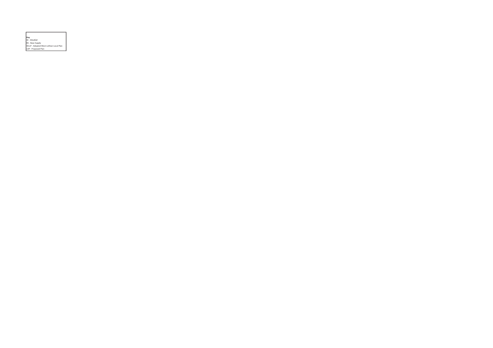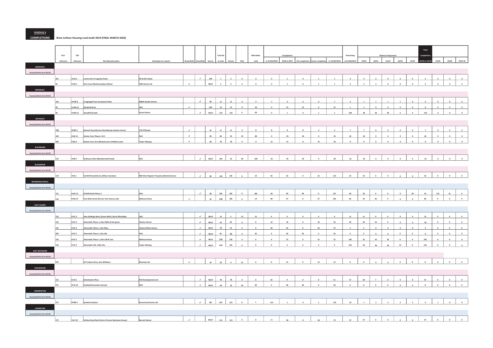SCHEDULE 4

### COMPLETIONS West Lothian Housing Land Audit 2019 (FINAL MARCH 2020)

|                           |           |                   |                                                    |                                             |               |                             |              |                 |                         |                     |             |                |                         |                     |                         |                |                         |                |                |                         |                 |                          | Total                      |                |                     |                         |
|---------------------------|-----------|-------------------|----------------------------------------------------|---------------------------------------------|---------------|-----------------------------|--------------|-----------------|-------------------------|---------------------|-------------|----------------|-------------------------|---------------------|-------------------------|----------------|-------------------------|----------------|----------------|-------------------------|-----------------|--------------------------|----------------------------|----------------|---------------------|-------------------------|
|                           | HLA       | LDP               |                                                    |                                             |               |                             |              | <b>Total No</b> |                         |                     | Affordable  |                |                         |                     |                         |                | Remaining               |                |                | <b>Delivery Program</b> |                 |                          |                            |                |                     |                         |
|                           | reference | reference         | Site Name/Location                                 | Developer (or owner)                        |               |                             |              | of units        |                         |                     |             | to 31/03/2018  | 2018 to 2019            |                     |                         | to 31/03/2019  | at 01/04/2019           | 19/20          | 20/21          | 21/22                   | 22/23           |                          | 23/24 19/20 to 23/24 24/25 |                | 25/26               | <b>POST 26</b>          |
| ADDIEWELL                 |           |                   |                                                    |                                             |               |                             |              |                 |                         |                     |             |                |                         |                     |                         |                |                         |                |                |                         |                 |                          |                            |                |                     |                         |
| Housing Market Area WLC02 |           |                   |                                                    |                                             |               |                             |              |                 |                         |                     |             |                |                         |                     |                         |                |                         |                |                |                         |                 |                          |                            |                |                     |                         |
|                           |           | H-AD <sub>3</sub> | Land north of Loganiea Road                        | Mr & Mrs Doyle                              |               | $\mathcal{L}_{\mathcal{A}}$ | LDP          |                 |                         | $\mathfrak{o}$      | $\Omega$    | $\circ$        | $\overline{1}$          | $\mathbf{o}$        | $\overline{1}$          | $\mathbf{1}$   | $\Delta$                | $\ddot{a}$     | $\circ$        | $\circ$                 | $\Omega$        | $\circ$                  | $\overline{A}$             | $\mathbf{o}$   | $\mathfrak{o}$      | $\mathfrak{o}$          |
|                           |           | H-AD 1            | Ross Court (Muirhousedyes Mains)                   | <b>ARH Homes Ltd</b>                        | $\mathcal{L}$ |                             | WLLP         |                 |                         | $\ddot{\mathbf{a}}$ | $\alpha$    | $\Omega$       | $\mathbf{a}$            | $\theta$            | $\mathbf{1}$            | $\mathbf{1}$   | $\overline{a}$          | $\overline{ }$ |                |                         |                 | $\alpha$                 |                            |                |                     |                         |
| ARMADALE                  |           |                   |                                                    |                                             |               |                             |              |                 |                         |                     |             |                |                         |                     |                         |                |                         |                |                |                         |                 |                          |                            |                |                     |                         |
| Housing Market Area WLC02 |           |                   |                                                    |                                             |               |                             |              |                 |                         |                     |             |                |                         |                     |                         |                |                         |                |                |                         |                 |                          |                            |                |                     |                         |
|                           | 103       | H-LW 2            | Craigengall Farm (Lowland Crofts)                  | M&M Quality Homes                           |               | $\checkmark$                | $\mathsf{w}$ | $11\,$          | ${\bf 11}$              | $\mathbf{0}$        | $\circ$     | $\overline{z}$ | $\mathbf{0}$            | $\mathfrak o$       | $\circ$                 | 7              | $\Delta$                | $\overline{1}$ | $\mathbf{1}$   | $\mathbf{1}$            | $\overline{1}$  | $\circ$                  | $\ddot{a}$                 | $\mathbf 0$    | $\mathfrak o$       | $\bullet$               |
|                           |           | H-AM 16           | Mayfield Drive                                     | WLC                                         | $\mathcal{A}$ |                             | LDP          | 22              | 14                      | $\mathbf{s}$        | 22          |                | 21                      | 21                  |                         | 21             |                         |                |                |                         |                 | $\mathfrak o$            | $\mathfrak o$              | $\mathbf 0$    | $\mathfrak o$       |                         |
|                           |           | <b>H-AM 13</b>    | Standhill (South)                                  | <b>Avant Homes</b>                          |               | $\checkmark$                | WLLP         | 110             | 110                     | $\mathbf 0$         | 28          | $\alpha$       | $\mathbf{1}$            | $\circ$             | $\mathcal{A}$           | $\mathbf 1$    | 109                     | 38             | 36             | 30                      | $6\overline{6}$ | $\mathfrak{o}$           | 110                        | $\mathfrak o$  | $\circ$             | $\mathfrak o$           |
| <b>BATHGATE</b>           |           |                   |                                                    |                                             |               |                             |              |                 |                         |                     |             |                |                         |                     |                         |                |                         |                |                |                         |                 |                          |                            |                |                     |                         |
| Housing Market Area WLC02 |           |                   |                                                    |                                             |               |                             |              |                 |                         |                     |             |                |                         |                     |                         |                |                         |                |                |                         |                 |                          |                            |                |                     |                         |
|                           | 105       | $H-BA1$           | Balmuir Road (former Woodthorpe Garden Centre)     | I & H Brown                                 | $\mathcal{A}$ |                             | $\mathsf{w}$ | $11\,$          | $11\,$                  | $\bullet$           | $\sqrt{2}$  | $\Omega$       | $\overline{a}$          | $\sim$              | $\overline{a}$          | $\overline{a}$ | $\overline{z}$          | $\overline{z}$ |                |                         |                 | $\sim$                   | $\overline{z}$             | $\Omega$       |                     |                         |
|                           |           | $H-BA$ 11         | Wester Inch, Phases 1 & 2                          | wLC                                         | $\mathcal{A}$ |                             | BS           | 86              | 54                      | 32                  | 86          | $\mathbf 0$    | 24                      | 24                  | $\circ$                 | 24             | 62                      | 62             | $\mathfrak o$  | $\mathbf 0$             | $\mathbf 0$     | $\mathfrak o$            | 62                         | $\bullet$      | $\circ$             | $\overline{\mathbf{0}}$ |
|                           | 268       | H-BA <sub>2</sub> | Wester Inch, Area BB (land east of Meikle Lane)    | <b>Taylor Wimpey</b>                        | $\mathcal{L}$ |                             | <b>BS</b>    | ${\bf 78}$      | $78\,$                  | $\alpha$            | $\circ$     | 21             | 57                      | $\Omega$            | 57                      | 78             | $\circ$                 | $\mathbf{a}$   | $\Omega$       | $\circ$                 | $\circ$         | $\overline{a}$           | $\circ$                    | $\mathfrak o$  | $\circ$             | $\circ$                 |
| <b>BLACKBURN</b>          |           |                   |                                                    |                                             |               |                             |              |                 |                         |                     |             |                |                         |                     |                         |                |                         |                |                |                         |                 |                          |                            |                |                     |                         |
| Housing Market Area WLC02 |           |                   |                                                    |                                             |               |                             |              |                 |                         |                     |             |                |                         |                     |                         |                |                         |                |                |                         |                 |                          |                            |                |                     |                         |
|                           | 116       | H-BB 7            | Redhouse West (Blackburnhall Road)                 | wLC                                         |               | $\mathcal{L}$               | WLLP         | 100             | 52                      | 48                  | 100         | 55             | 35                      | 35                  |                         | 90             | $10\,$                  | $10\,$         |                |                         |                 |                          | $10\,$                     | $\theta$       | $\circ$             |                         |
| <b>BLACKRIDGE</b>         |           |                   |                                                    |                                             |               |                             |              |                 |                         |                     |             |                |                         |                     |                         |                |                         |                |                |                         |                 |                          |                            |                |                     |                         |
| Housing Market Area WLC02 |           |                   |                                                    |                                             |               |                             |              |                 |                         |                     |             |                |                         |                     |                         |                |                         |                |                |                         |                 |                          |                            |                |                     |                         |
|                           | 118       | H-BL1             | Harthill Road (Site A), (Allison Gardens)          | RBS West Register Property (Administrators) |               | $\mathcal{L}_{\mathcal{A}}$ | BS           | 136             | 136                     | $\mathfrak{o}$      | 19          | 92             | 22                      | $\alpha$            | 22                      | 114            | 22                      | 22             | $\circ$        | $\circ$                 |                 | $\mathbf{a}$             | 22                         | $\circ$        | $\circ$             | $\bullet$               |
| <b>BROXBURN/UPHALL</b>    |           |                   |                                                    |                                             |               |                             |              |                 |                         |                     |             |                |                         |                     |                         |                |                         |                |                |                         |                 |                          |                            |                |                     |                         |
| Housing Market Area WLC01 |           |                   |                                                    |                                             |               |                             |              |                 |                         |                     |             |                |                         |                     |                         |                |                         |                |                |                         |                 |                          |                            |                |                     |                         |
|                           | 131       | H-BU 13           | Kirkhill North Phase 2                             | wLC                                         |               | $\mathcal{L}$               | <b>BS</b>    | 185             | 185                     | $\bullet$           | 185         | 28             | 99                      | 99                  | $\sim$                  | 127            | 58                      | 58             | $\circ$        | $\theta$                | $\Omega$        | 99                       | 32                         | 112            | 41                  | $\bullet$               |
|                           | 132       | H-BU 14           | East Main Street (former Vion factory site)        | <b>Bellway Homes</b>                        | $\mathcal{L}$ |                             | $\mathsf{w}$ | 190             | 190                     | $\circ$             | $14\,$      | 48             | 57                      | $\ddot{\mathbf{0}}$ | 57                      | 105            | 85                      | 59             | $\bf{26}$      | $\mathbf 0$             | $\mathfrak o$   | $\overline{\phantom{0}}$ | 85                         | $\circ$        | $\circ$             | $\circ$                 |
| EAST CALDER               |           |                   |                                                    |                                             |               |                             |              |                 |                         |                     |             |                |                         |                     |                         |                |                         |                |                |                         |                 |                          |                            |                |                     |                         |
| Housing Market Area WLC01 |           |                   |                                                    |                                             |               |                             |              |                 |                         |                     |             |                |                         |                     |                         |                |                         |                |                |                         |                 |                          |                            |                |                     |                         |
|                           | 135       | H-EC 4            | Raw Holdings West, (Seven Wells) Site B Affordable | wLC                                         |               | $\checkmark$                | WLLP         | $15\,$          | $\overline{\mathbf{3}}$ | 12                  | 15          | $\ddot{a}$     | $^{\circ}$              | $\circ$             | $\overline{0}$          | $\overline{4}$ | $11\,$                  | $11\,$         | $\circ$        | $^{\circ}$              | $\circ$         | $\circ$                  | 15                         | $\circ$        | $\bullet$           | $\circ$                 |
|                           |           | H-EC 9            | Almondell, Phase 1, Sites MWc & LKe (part)         | <b>Charles Church</b>                       |               | $\checkmark$                | WLLP         | 64              | 64                      | $\mathfrak o$       | $\circ$     | 16             | 18                      | $\circ$             | 18                      | 34             | 30                      | 20             | 10             | $\circ$                 | $\circ$         | $\circ$                  | 30                         | $\circ$        | $\circ$             | $\bullet$               |
|                           |           | <b>H-FC 9</b>     | Almondell, Phase 1, Site Mwa                       | <b>Stewart Milne Homes</b>                  |               | $\checkmark$                | WLLP         | 74              | 74                      | $\mathfrak{o}$      | $\bullet$   | 30             | 42                      | $\ddot{\mathbf{0}}$ | 42                      | 72             | $\overline{\mathbf{2}}$ | $\overline{2}$ | $\mathbf 0$    | $\circ$                 | $\circ$         | $\mathfrak o$            | $\,$ 2 $\,$                | $\circ$        | $\circ$             | $\circ$                 |
|                           |           | H-EC 6            | nondell, Phase 1, Site LKd                         | WLC                                         |               | $\mathcal{L}$               | WLLP         | 36              | 36                      | $\mathfrak o$       | 36          |                | 36                      | 36                  | $\circ$                 | 36             | $\mathfrak o$           | $\mathbf{o}$   | $\mathfrak o$  | $\mathbf 0$             | $\circ$         | $\circ$                  | $\circ$                    | $\mathfrak o$  | $\mathbf 0$         | $\mathbf 0$             |
|                           | 143       | H-EC9             | Almondell, Phase 1, Sites LKf & Cwa                | <b>Bellway Homes</b>                        |               | $\mathcal{L}_{\mathcal{A}}$ | WLLP         | 120             | 120                     | $\mathfrak o$       | $\mathbf 0$ | $\circ$        | $15\,$                  | $\mathbf 0$         | ${\bf 15}$              | $15\,$         | 105                     | 35             | 35             | 35                      | $\circ$         | $\mathbf 0$              | 105                        | $\circ$        | $\circ$             | $\bullet$               |
|                           | 144       | H-EC9             | Almondell, LKh, CWd, OSc                           | <b>Taylor Wimpey</b>                        |               | $\mathcal{L}$               | WLLP         | 125             | 125                     | $\circ$             | $\circ$     | $\circ$        | $\overline{\mathbf{3}}$ | $\circ$             | $\overline{\mathbf{3}}$ |                | 122                     | 36             | 36             | 36                      | $14\,$          | $\circ$                  | 122                        | $\mathbf 0$    | $\ddot{\mathbf{0}}$ | $\circ$                 |
| <b>EAST WHITBURN</b>      |           |                   |                                                    |                                             |               |                             |              |                 |                         |                     |             |                |                         |                     |                         |                |                         |                |                |                         |                 |                          |                            |                |                     |                         |
| Housing Market Area WLC02 |           |                   |                                                    |                                             |               |                             |              |                 |                         |                     |             |                |                         |                     |                         |                |                         |                |                |                         |                 |                          |                            |                |                     |                         |
|                           | 270       |                   | 56 Torbane Drive, East Whitburn                    | Planview Ltd                                | $\mathcal{L}$ |                             | $\mathsf{w}$ | $12\,$          | $\mathfrak o$           | 12                  | $\circ$     | $\circ$        | $12\,$                  | $\circ$             | $12\,$                  | $12\,$         | $\circ$                 | $\circ$        | $\circ$        | $\circ$                 | $\circ$         | $\mathfrak o$            | $\circ$                    | $\circ$        | $\circ$             | $\circ$                 |
| <b>FAULDHOUSE</b>         |           |                   |                                                    |                                             |               |                             |              |                 |                         |                     |             |                |                         |                     |                         |                |                         |                |                |                         |                 |                          |                            |                |                     |                         |
| Housing Market Area WLC02 |           |                   |                                                    |                                             |               |                             |              |                 |                         |                     |             |                |                         |                     |                         |                |                         |                |                |                         |                 |                          |                            |                |                     |                         |
|                           | 155       | $H-FA5$           | <b>Breichwater Place</b>                           | <b>RCK Developments Ltd</b>                 |               | $\checkmark$                | WLLP         | 78              | 78                      | $\circ$             | $\circ$     | 42             | $\overline{9}$          | $\circ$             | $\overline{9}$          | 51             | 27                      | 20             | $\overline{7}$ | $\circ$                 |                 | $\circ$                  | 27                         | $\circ$        | $\circ$             | $\overline{\mathbf{0}}$ |
|                           | 271       | <b>H-FA 10</b>    | <b>Eastfield Recreation Ground</b>                 | wLC                                         |               | $\mathcal{L}$               | WLLP         | 40              | $16\,$                  | 24                  | 40          | $\overline{4}$ | 36                      | 36                  | $\circ$                 | 40             | $\mathfrak{g}$          | $\circ$        | $\circ$        | $\circ$                 |                 |                          | $\mathfrak o$              | $\mathfrak{o}$ | $\bullet$           | $\mathfrak{o}$          |
| KIRKNEWTON                |           |                   |                                                    |                                             |               |                             |              |                 |                         |                     |             |                |                         |                     |                         |                |                         |                |                |                         |                 |                          |                            |                |                     |                         |
| Housing Market Area WLC01 |           |                   |                                                    |                                             |               |                             |              |                 |                         |                     |             |                |                         |                     |                         |                |                         |                |                |                         |                 |                          |                            |                |                     |                         |
|                           | 157       | $H-KN 1$          | <b>Braekirk Gardens</b>                            | <b>Drummond Homes Ltd</b>                   |               | $\mathcal{L}^{\pm}$         | <b>BS</b>    | 124             | 124                     | $\mathbf 0$         | $\sim$      | 113            |                         |                     |                         | 114            | $10\,$                  |                |                |                         |                 |                          |                            |                |                     |                         |
|                           |           |                   |                                                    |                                             |               |                             |              |                 |                         |                     |             |                |                         |                     |                         |                |                         |                |                |                         |                 |                          |                            |                |                     |                         |
|                           |           |                   |                                                    |                                             |               |                             |              |                 |                         |                     |             |                |                         |                     |                         |                |                         |                |                |                         |                 |                          |                            |                |                     |                         |
| Housing Market Area WLC02 |           |                   |                                                    |                                             | $\mathcal{L}$ |                             | WLLP         | 112             | $\frac{112}{112}$       | $\circ$             | $\circ$     | 29             | 46                      |                     | 46                      | 75             | 37                      | 37             | $\circ$        | $\mathfrak{a}$          |                 |                          | 37                         | $\circ$        | $\circ$             | $\circ$                 |
|                           | 175       | <b>H-LV 22</b>    | Kirkton Road North (site of former Buchanan House) | <b>Barratt Homes</b>                        |               |                             |              |                 |                         |                     |             |                |                         |                     |                         |                |                         |                |                |                         |                 |                          |                            |                |                     |                         |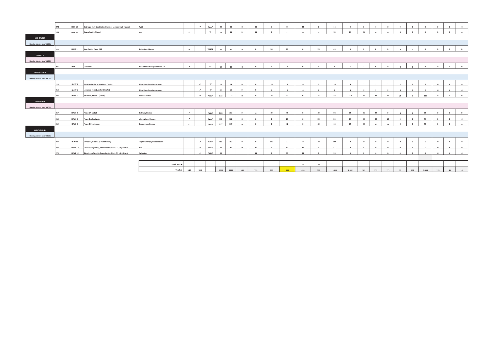|                                  | 272 | <b>H-LV 18</b>    | Dedridge East Road (site of former Lammermuir House) | <b>WLC</b>                            |                          | $\checkmark$             | WLLP      | 44   | 44   | $\circ$        | 44                      | $\sim$         | 44             | 44             | $\circ$        | 44           | $\circ$                  | $\circ$        | $\circ$        | $\circ$        | $\circ$      | $\circ$      | $\bullet$               | $\circ$      | $\circ$        | $\ddot{\mathbf{0}}$     |
|----------------------------------|-----|-------------------|------------------------------------------------------|---------------------------------------|--------------------------|--------------------------|-----------|------|------|----------------|-------------------------|----------------|----------------|----------------|----------------|--------------|--------------------------|----------------|----------------|----------------|--------------|--------------|-------------------------|--------------|----------------|-------------------------|
|                                  | 178 | <b>H-LV 25</b>    | Deans South, Phase 1                                 | WLC                                   | $\rightarrow$            |                          | w         | 54   | 54   | $\circ$        | 54                      | $\circ$        | 33             | 33             | $\Omega$       | 33           | 21                       | 21             | $\Omega$       | $\Omega$       | $\circ$      | $\circ$      | $\overline{\mathbf{0}}$ | $\circ$      | $\circ$        | $\circ$                 |
| MID CALDER                       |     |                   |                                                      |                                       |                          |                          |           |      |      |                |                         |                |                |                |                |              |                          |                |                |                |              |              |                         |              |                |                         |
| Housing Market Area WLC01        |     |                   |                                                      |                                       |                          |                          |           |      |      |                |                         |                |                |                |                |              |                          |                |                |                |              |              |                         |              |                |                         |
|                                  | 273 | H-MC <sub>1</sub> | New Calder Paper Mill                                | <b>Robertson Homes</b>                | $\checkmark$             |                          | WLLDP     | 49   | 49   | $\circ$        | $\Omega$                | 26             | 23             | $\Omega$       | 23             | 49           | $\overline{0}$           | $\circ$        | $\overline{0}$ | $\circ$        | $\circ$      | $\circ$      | $\circ$                 | $\circ$      | $\overline{0}$ | $\overline{\mathbf{0}}$ |
| <b>SEAFIELD</b>                  |     |                   |                                                      |                                       |                          |                          |           |      |      |                |                         |                |                |                |                |              |                          |                |                |                |              |              |                         |              |                |                         |
| Housing Market Area WLC02        |     |                   |                                                      |                                       |                          |                          |           |      |      |                |                         |                |                |                |                |              |                          |                |                |                |              |              |                         |              |                |                         |
|                                  | 201 | H-SF <sub>1</sub> | Old Rows                                             | <b>RB Construction (Redhouse) Ltd</b> | $\rightarrow$            |                          | <b>BS</b> |      |      |                | $\Omega$                | 5              | $\overline{a}$ | $\sim$         |                | $\mathbf{R}$ | $\overline{\phantom{a}}$ | $\overline{2}$ | $\circ$        | $\circ$        | $\Omega$     | $\Omega$     |                         | $\circ$      | $\circ$        | $\circ$                 |
|                                  |     |                   |                                                      |                                       |                          |                          |           | 10   | 10   | $\circ$        |                         |                |                |                |                |              |                          |                |                |                |              |              |                         |              |                |                         |
| <b>WEST CALDER</b>               |     |                   |                                                      |                                       |                          |                          |           |      |      |                |                         |                |                |                |                |              |                          |                |                |                |              |              |                         |              |                |                         |
| Housing Market Area WLC01        |     |                   |                                                      |                                       |                          |                          |           |      |      |                |                         |                |                |                |                |              |                          |                |                |                |              |              |                         |              |                |                         |
|                                  | 213 | H-LW4             | West Mains Farm (Lowland Crofts)                     | <b>New Lives New Landscapes</b>       |                          | $\checkmark$             | w         | 19   | 19   | $\overline{0}$ | $\overline{\mathbf{0}}$ | 13             | $\mathbf{1}$   | $\overline{0}$ | $\overline{1}$ | 14           | $\sim$                   | $\mathbf{1}$   | $\mathbf{1}$   | $\overline{1}$ | $\mathbf{1}$ | $\mathbf{1}$ | $\sim$                  | $\circ$      | $\circ$        | $\overline{0}$          |
|                                  | 214 | H-LW 5            | Longford Farm (Lowland Crofts)                       | <b>New Lives New Landscapes</b>       |                          | $\overline{\phantom{a}}$ | w         | 15   | 15   | $\Omega$       | $\Omega$                | $\overline{7}$ | $\overline{2}$ | $\circ$        | $\overline{2}$ | 9            | -6                       | $\overline{z}$ | $\overline{2}$ | $\overline{ }$ | $^{\circ}$   | $\circ$      | 6                       | $\circ$      | $\overline{0}$ | $\overline{\mathbf{0}}$ |
|                                  | 205 | H-WC <sub>2</sub> | Mossend, Phase 1 (Site A)                            | <b>Walker Group</b>                   |                          | $\rightarrow$            | WLLP      | 173  | 173  | $\Omega$       | $\Omega$                | 24             | 31             | $\Omega$       | 31             | 55           | 118                      | 30             | 30             | 30             | 28           | $\circ$      | 118                     | $\mathbf{0}$ | $\mathbf{0}$   | $\circ$                 |
|                                  |     |                   |                                                      |                                       |                          |                          |           |      |      |                |                         |                |                |                |                |              |                          |                |                |                |              |              |                         |              |                |                         |
|                                  |     |                   |                                                      |                                       |                          |                          |           |      |      |                |                         |                |                |                |                |              |                          |                |                |                |              |              |                         |              |                |                         |
| <b>WHITBURN</b>                  |     |                   |                                                      |                                       |                          |                          |           |      |      |                |                         |                |                |                |                |              |                          |                |                |                |              |              |                         |              |                |                         |
| <b>Housing Market Area WLC02</b> |     |                   |                                                      |                                       |                          |                          |           |      |      |                |                         |                |                |                |                |              |                          |                |                |                |              |              |                         |              |                |                         |
|                                  | 217 | H-WH <sub>3</sub> | Phase 2A and 2B                                      | <b>Bellway Homes</b>                  | $\rightarrow$            |                          | WLLP      | 163  | 163  | $\Omega$       | $\sim$                  | 49             | 49             | $\sim$         | 49             | 98           | 65                       | 36             | 29             | $\circ$        | $\circ$      | $\circ$      | 65                      | $\circ$      | $\circ$        | $\overline{0}$          |
|                                  | 218 | H-WH <sub>3</sub> | Phase 2 Allan Water                                  | Allan Water Homes                     | $\overline{\phantom{a}}$ |                          | WLLP      | 102  | 102  |                |                         | $\sim$         | 23             |                | 23             | 23           | 79                       | 30             | 30             | 19             | $\Omega$     | $\Omega$     | 79                      | $\sim$       | $\Omega$       | $\overline{\mathbf{0}}$ |
|                                  | 219 | H-WH <sub>3</sub> | Phase 2 Persimmon                                    | Persimmon Homes                       | $\checkmark$             |                          | WLLP      | 117  | 117  | $\Omega$       | $\mathbf{0}$            | $\circ$        | 42             | $\sim$         | 42             | 42           | 75                       | 30             | 30             | 15             | $\mathbf{0}$ | $\circ$      | 75                      | $\mathbf{0}$ | $\mathbf{0}$   | $\circ$                 |
| <b>WINCHBURGH</b>                |     |                   |                                                      |                                       |                          |                          |           |      |      |                |                         |                |                |                |                |              |                          |                |                |                |              |              |                         |              |                |                         |
| <b>Housing Market Area WLC01</b> |     |                   |                                                      |                                       |                          |                          |           |      |      |                |                         |                |                |                |                |              |                          |                |                |                |              |              |                         |              |                |                         |
|                                  | 247 | H-WB <sub>5</sub> | Myreside, Block AA, (Seton Park)                     | <b>Taylor Wimpey East Scotland</b>    |                          | $\overline{\phantom{a}}$ | WLLP      |      |      | $\circ$        | $\Omega$                |                | 27             | $\circ$        | 27             |              | $\mathbf{q}$             | 9              | $\circ$        | $\circ$        | $\circ$      | $\circ$      | 9                       | $\circ$      | $\circ$        | $\overline{0}$          |
|                                  |     |                   |                                                      |                                       |                          |                          |           | 153  | 153  |                |                         | 117            |                |                |                | 144          |                          |                |                |                |              |              |                         |              |                |                         |
|                                  | 274 | <b>H-WB12</b>     | Glendevon (North), Town Centre Block Q1 + Q3 Site B  | <b>WLC</b>                            |                          | $\checkmark$             | WLLP      | 41   | 41   | $\mathbf{0}$   | 41                      | $\Omega$       | 41             | 41             | $\overline{0}$ | 41           | $\Omega$                 | $\Omega$       | $\circ$        | $\Omega$       | $\circ$      | $\circ$      | $\circ$                 | $\circ$      | $\overline{0}$ | $\bullet$               |
|                                  | 275 | <b>H-WB12</b>     | Glendevon (North), Town Centre Block Q1 + Q3 Site A  | Wheatley                              |                          | $\checkmark$             | WLLP      | 55   |      |                | 55                      | $\bullet$      | 55             | 55             | $\Omega$       | 55           | $\overline{0}$           | $\circ$        | $\Omega$       | $\sim$         | $\Omega$     | $\circ$      | $\overline{\mathbf{0}}$ | $\sim$       | $\Omega$       | $\circ$                 |
|                                  |     |                   |                                                      |                                       |                          |                          |           |      |      |                |                         |                |                |                |                |              |                          |                |                |                |              |              |                         |              |                |                         |
|                                  |     |                   |                                                      | Small Sites I                         |                          |                          |           |      |      |                |                         |                | 22             | $\bullet$      | 22             |              |                          |                |                |                |              |              |                         |              |                |                         |
|                                  |     |                   |                                                      | Totals $\blacktriangleright$          | 340                      | 515                      |           | 2724 | 2229 | 149            | 739                     | 730            | 934            | 424            | 510            | 1633         | 1.082                    | 581            | 275            | 171            | 52           | 102          | 1.044                   | 113          | 41             | $\sqrt{2}$              |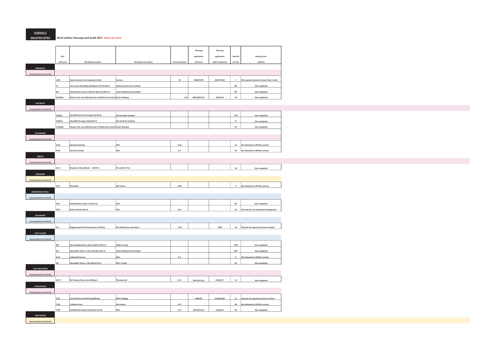SCHEDULE 5

DELETED SITES West Lothian Housing Land Audit 2017 (DRAFT SEPT 2019)

|                                                |            |                                                                          |                              |                 | Planning         | Planning         |                 |                                             |
|------------------------------------------------|------------|--------------------------------------------------------------------------|------------------------------|-----------------|------------------|------------------|-----------------|---------------------------------------------|
|                                                | <b>HLA</b> |                                                                          |                              |                 | application      | application      | <b>Total No</b> | Reason(s) for                               |
|                                                | reference  | Site Name/Location                                                       | Developer (or owner)         | Gross Area (ha) | reference        | date of approval | of units        | deletion                                    |
| ARMADALE                                       |            |                                                                          |                              |                 |                  |                  |                 |                                             |
| Housing Market Area WLC02                      |            |                                                                          |                              |                 |                  |                  |                 |                                             |
|                                                | 1/30       | South Couston Farm (Lowland Crofts)                                      | Various                      | 50              | 0838/P/99        | 23/07/2002       | $7 -$           | Site capacity reduced to fewer than 5 units |
|                                                |            | Tarrareoch (Southdale Meadows) H2 (H-AM 7)                               | Bellway Homes Ltd, Scotland  |                 |                  |                  | 85              | Site completed                              |
|                                                |            | Netherhouse, Phase 2 (Ferrier Way) (H-AM 11) Taylor Wimpey East Scotland |                              |                 |                  |                  | 85              | Site completed                              |
|                                                | 2/66(20)   | Wester Inch, Area BB (land east of Meikle Inch Lane) (Taylor Wimpey      |                              |                 | 1.81 0803/MSC/14 | 10/03/15         | 78              | Site completed                              |
| <b>BATHGATE</b>                                |            |                                                                          |                              |                 |                  |                  |                 |                                             |
| Housing Market Area WLC02                      |            |                                                                          |                              |                 |                  |                  |                 |                                             |
|                                                | 2/66(7)    | Standhill (Inchcross Grange) (H-BA 3)                                    | <b>Barratt West Scotland</b> |                 |                  |                  | 175             | Site completed                              |
|                                                | 2/66(7)    | Standhill (frontage site)(H-BA 3)                                        | <b>Barratt West Scotland</b> |                 |                  |                  | 17              | Site completed                              |
|                                                | 2/66(20)   | Wester Inch, Area BB (land east of Meikle Inch Lane) (Taylor Wimpey      |                              |                 |                  |                  | 78              | Site completed                              |
| <b>BLACKBURN</b>                               |            |                                                                          |                              |                 |                  |                  |                 |                                             |
| Housing Market Area WLC02                      |            |                                                                          |                              |                 |                  |                  |                 |                                             |
|                                                | 3/10       | <b>Beechwood Road</b>                                                    | WLC                          | $0.18\,$        |                  |                  | 10              | Not allocated in LDP/No consent             |
|                                                | 3/40       | Ash Grove (East)                                                         | wLC                          | 0.4             |                  |                  | 20              | Not allocated in LDP/No consent             |
|                                                |            |                                                                          |                              |                 |                  |                  |                 |                                             |
| BREICH                                         |            |                                                                          |                              |                 |                  |                  |                 |                                             |
| <b>Housing Market Area WLC02</b>               |            |                                                                          |                              |                 |                  |                  |                 |                                             |
|                                                | 21/3       | Woodmuir Road (West) (H-BR 2)                                            | Mr and Mrs Tod               |                 |                  |                  | 30              | Site completed                              |
| <b>BRIDGEND</b>                                |            |                                                                          |                              |                 |                  |                  |                 |                                             |
| Housing Market Area WLC03                      |            |                                                                          |                              |                 |                  |                  |                 |                                             |
|                                                | 22/1       | Woodside                                                                 | Not known                    | 0.68            |                  |                  | $6\overline{6}$ | Not allocated in LDP/No consent             |
| <b>BROXBURN/UPHALL</b>                         |            |                                                                          |                              |                 |                  |                  |                 |                                             |
| Housing Market Area WLC01                      |            |                                                                          |                              |                 |                  |                  |                 |                                             |
|                                                | 4/57       | Kirkhill North, Phase 1 (H-BU 13)                                        | wLC                          |                 |                  |                  | 45              | Site completed                              |
|                                                | 3/40       | <b>Holmes North (Site C)</b>                                             | WLC                          | 0.27            |                  |                  | 20              | Site sold for non-residential development   |
| <b>DECHMONT</b>                                |            |                                                                          |                              |                 |                  |                  |                 |                                             |
| Housing Market Area WLC01                      |            |                                                                          |                              |                 |                  |                  |                 |                                             |
|                                                |            |                                                                          |                              |                 |                  |                  |                 |                                             |
|                                                |            |                                                                          |                              |                 |                  |                  |                 |                                             |
|                                                | 5/2        | Badgerwood (formerly Houston 3) (Plots)                                  | Mrs MacFarlane and others    | 1.58            |                  | 1994             |                 | 23 Physical site capacity has been reached  |
| <b>EAST CALDER</b>                             |            |                                                                          |                              |                 |                  |                  |                 |                                             |
| Housing Market Area WLC01                      |            |                                                                          |                              |                 |                  |                  |                 |                                             |
|                                                |            | Raw Holdings West, (Seven Wells) (H-EC 4)                                | <b>Walker Group</b>          |                 |                  |                  | 103             | Site completed                              |
|                                                | <b>AD</b>  | Almondell, Phase 1, Sites LKa/LKc (H-EC 7)                               | Taylor Wimpey East Scotland  |                 |                  |                  | 107             | Site completed                              |
|                                                | 6/13       | Calderhall Terrace                                                       | WLC                          | 0.3             |                  |                  | 9               | Not allocated in LDP/No consent             |
|                                                | AD         | Almondell, Phase 1, Site LKd (H-EC 6)                                    | WLC / Lovell                 |                 |                  |                  | 36              | Site completed                              |
| <b>EAST WHITBURN</b>                           |            |                                                                          |                              |                 |                  |                  |                 |                                             |
| Housing Market Area WLC02                      |            |                                                                          |                              |                 |                  |                  |                 |                                             |
|                                                | 25/17      | 56 Torbane Drive, East Whitburn                                          | Planview Ltd                 | 0.15            | 0557/FUL/16      | 23/03/17         | 12              | Site completed                              |
|                                                |            |                                                                          |                              |                 |                  |                  |                 |                                             |
| FAULDHOUSE                                     |            |                                                                          |                              |                 |                  |                  |                 |                                             |
| Housing Market Area WLC02                      |            |                                                                          |                              |                 |                  |                  |                 |                                             |
|                                                | 7/32       | Fala Hill Place (Harthill Road)(Plots)                                   | <b>WGY Holdings</b>          |                 | 0585/05          | 31/08/2005       | 13              | Physical site capacity has been reached     |
|                                                | 7/26       | Croftfoot Farm                                                           | Not known                    | 3.57            |                  |                  | 90              | Not allocated in LDP/No consent             |
|                                                | 7/40       | Eastfield Recreation Ground (H-FA 10)                                    | WLC                          | 1.27            | 0214/FUL/15      | 15/06/15         | 40              | Site completed                              |
| <b>LINLITHGOW</b><br>Housing Market Area WLC03 |            |                                                                          |                              |                 |                  |                  |                 |                                             |